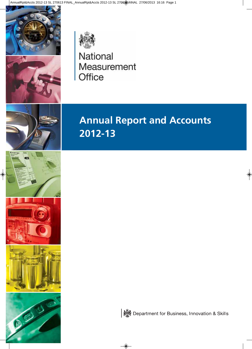



National Measurement Office



# **Annual Report and Accounts 2012-13**



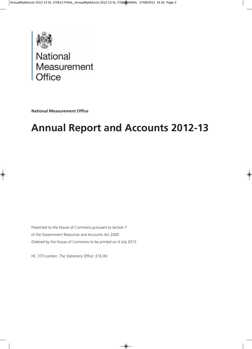

# National<br>Measurement Office

**National Measurement Office**

# **Annual Report and Accounts 2012-13**

Presented to the House of Commons pursuant to section 7 of the Government Resources and Accounts Act 2000 Ordered by the House of Commons to be printed on 4 July 2013

HC 373 London: The Stationery Office: £16.00.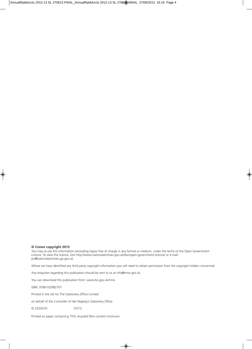#### **© Crown copyright 2013**

You may re-use this information (excluding logos) free of charge in any format or medium, under the terms of the Open Government Licence. To view this licence, visit http://www.nationalarchives.gov.uk/doc/open-government-licence/ or e-mail: psi@nationalarchives.gsi.gov.uk.

Where we have identified any third party copyright information you will need to obtain permission from the copyright holders concerned.

Any enquiries regarding this publication should be sent to us at info@nmo.gov.uk.

You can download this publication from: www.bis.gov.uk/nmo

ISBN: 9780102982701

Printed in the UK for The Stationery Office Limited

on behalf of the Controller of Her Majesty's Stationery Office

ID 2555070 07/13

Printed on paper containing 75% recycled fibre content minimum.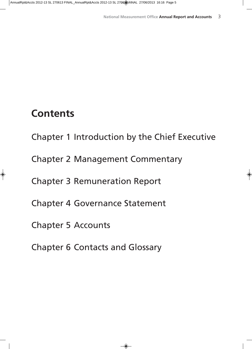## **Contents**

Chapter 1 Introduction by the Chief Executive

Chapter 2 Management Commentary

Chapter 3 Remuneration Report

Chapter 4 Governance Statement

Chapter 5 Accounts

Chapter 6 Contacts and Glossary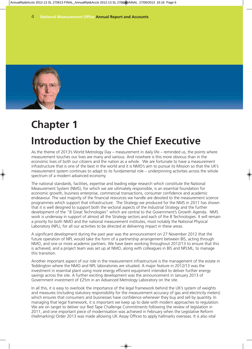

# **Chapter 1 Introduction by the Chief Executive**

As the theme of 2013's World Metrology Day – measurement in daily life – reminded us, the points where measurement touches our lives are many and various. And nowhere is this more obvious than in the economic lives of both our citizens and the nation as a whole. We are fortunate to have a measurement infrastructure that is one of the best in the world and it is NMO's aim to pursue its Mission so that the UK's measurement system continues to adapt to its fundamental role – underpinning activities across the whole spectrum of a modern advanced economy.

The national standards, facilities, expertise and leading edge research which constitute the National Measurement System (NMS), for which we are ultimately responsible, is an essential foundation for economic growth, business enterprise, commercial transactions, consumer confidence and academic endeavour. The vast majority of the financial resources we handle are devoted to the measurement science programmes which support that infrastructure. The Strategy we produced for the NMS in 2011 has shown that it is well designed to support both the sectoral aspects of the Industrial Strategy and the further development of the "8 Great Technologies" which are central to the Government's Growth Agenda. NMS work is underway in support of almost all the Strategy sectors and each of the 8 Technologies. It will remain a priority for both NMO and the national measurement institutes, most notably the National Physical Laboratory (NPL), for all our activities to be directed at delivering impact in these areas.

A significant development during the past year was the announcement on 27 November 2012 that the future operation of NPL would take the form of a partnership arrangement between BIS, acting through NMO, and one or more academic partners. We have been working throughout 2012/13 to ensure that this is achieved, and a project team was set up at NMO, along with colleagues in BIS and NPLML, to manage this transition.

Another important aspect of our role in the measurement infrastructure is the management of the estate in Teddington where the NMO and NPL laboratories are situated. A major feature in 2012/13 was the investment in essential plant using more energy efficient equipment intended to deliver further energy savings across the site. A further exciting development was the announcement in January 2013 of Government investment of £25m in an Advanced Metrology Laboratory on the site.

In all this, it is easy to overlook the importance of the legal framework behind the UK's system of weights and measures (including statutory responsibility for the measurement accuracy of gas and electricity meters) which ensures that consumers and businesses have confidence whenever they buy and sell by quantity. In managing that legal framework, it is important we keep up to date with modern approaches to regulation. We are on target to deliver our Red Tape Challenge Commitments following the review of legislation in 2011, and one important piece of modernisation was achieved in February when the Legislative Reform (Hallmarking) Order 2013 was made allowing UK Assay Offices to apply hallmarks overseas. It is also vital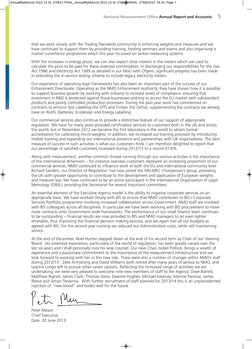that we work closely with the Trading Standards community in enforcing weights and measures and we have continued to support them by providing training, hosting seminars and exams and also organising a market surveillance programme which this year focussed on tanker measuring systems.

With the increases in energy prices, we can also expect close interest in the meters which are used to calculate the price to be paid for these essential commodities. In discharging our responsibilities for the Gas Act 1986 and Electricity Act 1989 as detailed in our MoU with Ofgem, significant progress has been made in extending the in-service testing scheme to include legacy electricity meters.

Our experience of operating legal frameworks has also been an important part of the success of our Enforcement Directorate. Operating as the NMO Enforcement Authority, they have shown how it is possible to support business growth by working with industry to increase levels of compliance, ensuring that investment in R&D is protected against those businesses wishing to access the EU market with substandard products and poorly controlled production processes. During the past year work has commenced on contracts to enforce Tyre Labelling (for DfT) and Timber (for Defra), supplementing the contracts we already have on RoHS, Batteries, Ecodesign and Energy Labelling.

Our commercial services also continue to provide a distinctive feature of our support of appropriate regulation. We have for many years provided certification services to customers both in the UK and across the world, but in November 2012 we became the first laboratory in the world to obtain formal accreditation for calibrating micro-weights. In addition, we increased our training provision by introducing mobile training and expanding our international presence and partnerships with UK organisations. The best measure of success in such activities is what our customers think. I am therefore delighted to report that our percentage of satisfied customers increased during 2012/13 to a record 97.8%.

Along with measurement, another common thread running through our various activities is the importance of the international dimension – for instance overseas customers represent an increasing proportion of our commercial services. NMO continued to influence work at both the EU and international community level. Richard Sanders, our Director of Regulation, has now joined the WELMEC Chairperson's group, providing the UK with greater opportunity to contribute to the development and application of European weights and measure law. We have continued to be an active participant in the International Organisation of Legal Metrology (OIML), providing the Secretariat for several important committees.

An essential element of the Executive Agency model is the ability to organise corporate services on an appropriate basis. We have worked closely with BIS to ensure that NMO contributes to BIS's Corporate Services Portfolio programme involving increased collaboration across Government. NMO staff are involved with BIS colleagues across all disciplines. In particular we have been working with BIS procurement to move more contracts onto Government-wide frameworks. The performance of our small finance team continues to be outstanding – financial results are now provided to BIS and NMO managers to an even tighter timetable, thus improving the financial decision making process, and we again met all our budgets as agreed with BIS. For the second year running we reduced our Administration costs, while still maintaining service.

At the end of December, Noel Hunter stepped down at the end of his second term as Chair of our Steering Board. His extensive experience, particularly of the world of regulation, has been greatly valued over the last six years and I shall personally miss his wise counsel. Our new Chair, Isobel Pollock, brings a wealth of experience and a passionate commitment to the importance of the measurement infrastructure and we look forward to working with her in this new role. There were also a number of changes within NMO's staff during 2012/13 - Zélie Armstrong and David Williams both retired after many years of service to NMO, and Leanna Longo left to pursue other career options. Reflecting the increased range of activities we are undertaking, we were very pleased to welcome nine new members of staff to the Agency: Dave Barrett, Matthew Bignell, James Clark, Thomas Drew, Deanne Hughes, Michael Kearney, Mannie Panesar, James Reeve and Simon Trevenna. With further recruitment of staff planned for 2013/14 this is an unprecedented injection of "new blood" and bodes well for the future.

Peter Mason Chief Executive Date: 20 June 2013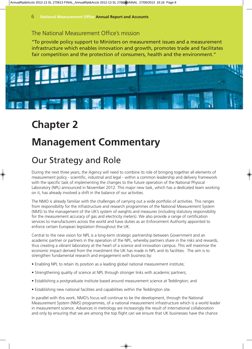### The National Measurement Office's mission

"To provide policy support to Ministers on measurement issues and a measurement infrastructure which enables innovation and growth, promotes trade and facilitates fair competition and the protection of consumers, health and the environment."



## **Chapter 2**

## **Management Commentary**

## Our Strategy and Role

During the next three years, the Agency will need to combine its role of bringing together all elements of measurement policy - scientific, industrial and legal - within a common leadership and delivery framework with the specific task of implementing the changes to the future operation of the National Physical Laboratory (NPL) announced in November 2012. This major new task, which has a dedicated team working on it, has already involved a shift in the balance of our activities.

The NMO is already familiar with the challenges of carrying out a wide portfolio of activities. This ranges from responsibility for the infrastructure and research programmes of the National Measurement System (NMS) to the management of the UK's system of weights and measures (including statutory responsibility for the measurement accuracy of gas and electricity meters). We also provide a range of certification services to manufacturers across the world and have duties as an Enforcement Authority appointed to enforce certain European legislation throughout the UK.

Central to the new vision for NPL is a long-term strategic partnership between Government and an academic partner or partners in the operation of the NPL, whereby partners share in the risks and rewards, thus creating a vibrant laboratory at the heart of a science and innovation campus. This will maximise the economic impact derived from the investment the UK has made in NPL and its facilities. The aim is to strengthen fundamental research and engagement with business by:

- Enabling NPL to retain its position as a leading global national measurement institute;
- Strengthening quality of science at NPL through stronger links with academic partners;
- Establishing a postgraduate institute based around measurement science at Teddington; and
- Establishing new national facilities and capabilities within the Teddington site.

In parallel with this work, NMO's focus will continue to be the development, through the National Measurement System (NMS) programmes, of a national measurement infrastructure which is a world leader in measurement science. Advances in metrology are increasingly the result of international collaboration and only by ensuring that we are among the top flight can we ensure that UK businesses have the chance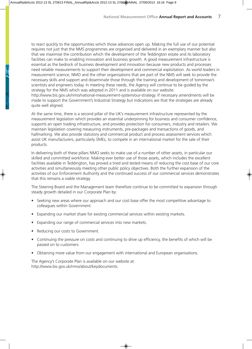to react quickly to the opportunities which those advances open up. Making the full use of our potential requires not just that the NMS programmes are organised and delivered in an exemplary manner but also that we maximise the contribution which the development of the Teddington estate and its laboratory facilities can make to enabling innovation and business growth. A good measurement infrastructure is essential as the bedrock of business development and innovation because new products and processes need reliable measurements to support their development and commercial exploitation. As world leaders in measurement science, NMO and the other organisations that are part of the NMS will seek to provide the necessary skills and support and disseminate those through the training and development of tomorrow's scientists and engineers today. In meeting these needs, the Agency will continue to be guided by the strategy for the NMS which was adopted in 2011 and is available on our website:

http://www.bis.gov.uk/nmo/national-measurement-system/our-strategy. If necessary amendments will be made to support the Government's Industrial Strategy but indications are that the strategies are already quite well aligned.

At the same time, there is a second pillar of the UK's measurement infrastructure represented by the measurement legislation which provides an essential underpinning for business and consumer confidence, supports an open trading infrastructure, and provides protection for consumers, industry and retailers. We maintain legislation covering measuring instruments, pre-packages and transactions of goods, and hallmarking. We also provide statutory and commercial product and process assessment services which assist UK manufacturers, particularly SMEs, to compete in an international market for the sale of their products.

In delivering both of these pillars NMO seeks to make use of a number of other assets, in particular our skilled and committed workforce. Making ever better use of those assets, which includes the excellent facilities available in Teddington, has proved a tried and tested means of reducing the cost base of our core activities and simultaneously meeting other public policy objectives. Both the further expansion of the activities of our Enforcement Authority and the continued success of our commercial services demonstrates that this remains a viable strategy.

The Steering Board and the Management team therefore continue to be committed to expansion through steady growth detailed in our Corporate Plan by:

- Seeking new areas where our approach and our cost base offer the most competitive advantage to colleagues within Government.
- Expanding our market share for existing commercial services within existing markets.
- Expanding our range of commercial services into new markets.
- Reducing our costs to Government.
- Continuing the pressure on costs and continuing to drive up efficiency, the benefits of which will be passed on to customers.
- Obtaining more value from our engagement with international and European organisations.

The Agency's Corporate Plan is available on our website at: http://www.bis.gov.uk/nmo/about/keydocuments.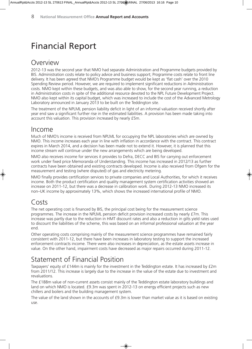## Financial Report

### Overview

2012-13 was the second year that NMO had separate Administration and Programme budgets provided by BIS. Administration costs relate to policy advice and business support; Programme costs relate to front line delivery. It has been agreed that NMO's Programme budget would be kept as 'flat cash' over the 2010 Spending Review period. However, we are required to implement significant reductions in Administration costs. NMO kept within these budgets, and was also able to show, for the second year running, a reduction in Administration costs in spite of the additional resource devoted to the NPL Future Development Project. NMO also kept within its capital budget, which was increased to include the cost of the Advanced Metrology Laboratory announced in January 2013 to be built on the Teddington site.

The treatment of the NPLML pension liability deficit in light of an informal valuation received shortly after year end saw a significant further rise in the estimated liabilities. A provision has been made taking into account this valuation. This provision increased by nearly £5m.

### Income

Much of NMO's income is received from NPLML for occupying the NPL laboratories which are owned by NMO. This income increases each year in line with inflation in accordance with the contract. This contract expires in March 2014, and a decision has been made not to extend it. However, it is planned that this income stream will continue under the new arrangements which are being developed.

NMO also receives income for services it provides to Defra, DECC and BIS for carrying out enforcement work under fixed price Memoranda of Understanding. This income has increased in 2012/13 as further contracts have been obtained and existing contracts developed. Income is also received from Ofgem for the measurement and testing (where disputed) of gas and electricity metering.

NMO finally provides certification services to private companies and Local Authorities, for which it receives income. Both the product certification and quality management system certification activities showed an increase on 2011-12, but there was a decrease in calibration work. During 2012-13 NMO increased its non–UK income by approximately 13%, which shows the increased international profile of NMO.

### Costs

The net operating cost is financed by BIS, the principal cost being for the measurement science programmes. The increase in the NPLML pension deficit provision increased costs by nearly £7m. This increase was partly due to the reduction in HMT discount rates and also a reduction in gilts yield rates used to discount the liabilities of the scheme, this was based on an informal professional valuation at the year end.

Other operating costs comprising mainly of the measurement science programmes have remained fairly consistent with 2011-12, but there have been increases in laboratory testing to support the increased enforcement contracts income. There were also increases in depreciation, as the estate assets increase in value. On the other hand, impairment costs have decreased as major repairs occurred during 2011-12.

### Statement of Financial Position

Taxpayers' equity of £144m is mainly for the investment in the Teddington estate. It has increased by £2m from 2011/12. This increase is largely due to the increase in the value of the estate due to investment and revaluations.

The £188m value of non-current assets consist mainly of the Teddington estate laboratory buildings and land on which NMO is located. £9.3m was spent in 2012-13 on energy efficient projects such as new chillers and boilers and the building management system.

The value of the land shown in the accounts of £9.3m is lower than market value as it is based on existing use.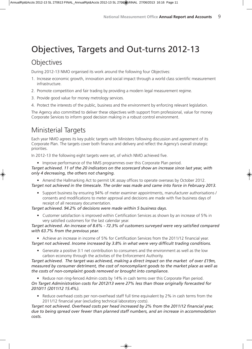## Objectives, Targets and Out-turns 2012-13

### **Objectives**

During 2012-13 NMO organised its work around the following four Objectives:

- 1. Increase economic growth, innovation and social impact through a world class scientific measurement infrastructure.
- 2. Promote competition and fair trading by providing a modern legal measurement regime.
- 3. Provide good value for money metrology services.
- 4. Protect the interests of the public, business and the environment by enforcing relevant legislation.

The Agency also committed to deliver these objectives with support from professional, value for money Corporate Services to inform good decision making in a robust control environment.

### Ministerial Targets

Each year NMO agrees its key public targets with Ministers following discussion and agreement of its Corporate Plan. The targets cover both finance and delivery and reflect the Agency's overall strategic priorities.

In 2012-13 the following eight targets were set, of which NMO achieved five.

• Improve performance of the NMS programmes over this Corporate Plan period.

#### *Target achieved. 11 of the 20 indicators on the scorecard show an increase since last year, with only 4 decreasing, the others not changing.*

• Amend the Hallmarking Act to permit UK assay offices to operate overseas by October 2012. *Target not achieved in the timescale. The order was made and came into force in February 2013.*

• Support business by ensuring 94% of meter examiner appointments, manufacturer authorisations / consents and modifications to meter approval and decisions are made with five business days of receipt of all necessary documentation.

*Target achieved. 94.2% of decisions were made within 5 business days.*

• Customer satisfaction is improved within Certification Services as shown by an increase of 5% in very satisfied customers for the last calendar year.

*Target achieved. An increase of 8.6% - 72.3% of customers surveyed were very satisfied compared with 63.7% from the previous year.*

• Achieve an increase in income of 5% for Certification Services from the 2011/12 financial year. *Target not achieved. Income increased by 3.8% in what were very difficult trading conditions.*

• Generate a positive 3:1 net contribution to consumers and the environment as well as the low carbon economy through the activities of the Enforcement Authority.

*Target achieved. The target was achieved, making a direct impact on the market of over £19m, measured by consumer detriment, the cost of noncompliant goods to the market place as well as the costs of non-complaint goods removed or brought into compliance.*

• Reduce non ring-fenced Admin costs by 14% in cash terms over this Corporate Plan period. *On Target Administration costs for 2012/13 were 27% less than those originally forecasted for 2010/11 (2011/12 15.4%).*

• Reduce overhead costs per non-overhead staff full time equivalent by 2% in cash terms from the 2011/12 financial year (excluding technical laboratory costs).

*Target not achieved. Overhead costs per head increased by 2% from the 2011/12 financial year, due to being spread over fewer than planned staff numbers, and an increase in accommodation costs.*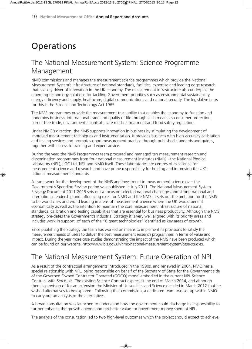## **Operations**

### The National Measurement System: Science Programme Management

NMO commissions and manages the measurement science programmes which provide the National Measurement System's infrastructure of national standards, facilities, expertise and leading edge research that is a key driver of innovation in the UK economy. The measurement infrastructure also underpins the emerging technology solutions for tackling Government priorities such as environmental sustainability, energy efficiency and supply, healthcare, digital communications and national security. The legislative basis for this is the Science and Technology Act 1965.

The NMS programmes provide the measurement traceability that enables the economy to function and underpins business, international trade and quality of life through such means as consumer protection, barrier-free trade, environmental controls, safe medical treatment and food safety regulation.

Under NMO's direction, the NMS supports innovation in business by stimulating the development of improved measurement techniques and instrumentation. It provides business with high-accuracy calibration and testing services and promotes good measurement practice through published standards and guides, together with access to training and expert advice.

During the year, the NMS Programmes team procured and managed ten measurement research and dissemination programmes from four national measurement institutes (NMIs) - the National Physical Laboratory (NPL), LGC Ltd, NEL and NMO itself. These laboratories are centres of excellence for measurement science and research and have prime responsibility for holding and improving the UK's national measurement standards.

A framework for the development of the NMS and investment in measurement science over the Government's Spending Review period was published in July 2011. The National Measurement System Strategy Document 2011-2015 sets out a focus on selected national challenges and strong national and international leadership and influencing roles for NMO and the NMS. It sets out the ambition for the NMS to be world class and world leading in areas of measurement science where the UK would benefit economically as well as the intention to maintain the core measurement infrastructure of national standards, calibration and testing capabilities that are essential for business productivity. Although the NMS strategy pre-dates the Government's Industrial Strategy it is very well aligned with its priority areas and includes work in support of each of the "8 great technologies" identified as key areas of growth.

Since publishing the Strategy the team has worked on means to implement its provisions to satisfy the measurement needs of users to deliver the best measurement research programmes in terms of value and impact. During the year more case studies demonstrating the impact of the NMS have been produced which can be found on our website: http://www.bis.gov.uk/nmo/national-measurement-system/case-studies.

### The National Measurement System: Future Operation of NPL

As a result of the contractual arrangements introduced in the 1990s, and renewed in 2004, NMO has a special relationship with NPL, being responsible on behalf of the Secretary of State for the Government side of the Governed Owned Contractor Operated (GOCO) model embodied in the current NPL Science Contract with Serco plc. The existing Science Contract expires at the end of March 2014, and although there is provision of for an extension the Minister of Universities and Science decided in March 2012 that he wished alternatives to be explored. Following that commission, a dedicated team was set up within NMO to carry out an analysis of the alternatives.

A broad consultation was launched to understand how the government could discharge its responsibility to further enhance the growth agenda and get better value for government money spent at NPL.

The analysis of the consultation led to two high-level outcomes which the project should expect to achieve;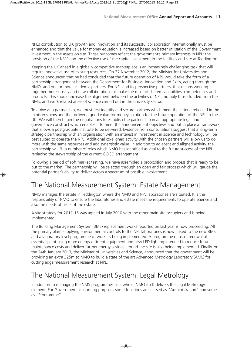NPL's contribution to UK growth and innovation and its successful collaboration internationally must be enhanced and that the value for money equation is increased based on better utilisation of the Government investment in the assets on site. These outcomes reflect the government's primary interests in NPL: the provision of the NMS and the effective use of the capital investment in the facilities and site at Teddington.

Keeping the UK ahead in a globally competitive marketplace is an increasingly challenging task that will require innovative use of existing resources. On 27 November 2012, the Minister for Universities and Science announced that he had concluded that the future operation of NPL would take the form of a partnership arrangement between the Department for Business, Innovation and Skills, acting through the NMO, and one or more academic partners. For NPL and its prospective partners, that means working together more closely and new collaborations to make the most of shared capabilities, competencies and products. This should increase the alignment between the activities of NPL, notably those funded from the NMS, and work related areas of science carried out in the university sector.

To arrive at a partnership, we must first identify and secure partners which meet the criteria reflected in the minister's aims and that deliver a good value-for-money solution for the future operation of the NPL to the UK. We will then begin the negotiations to establish the partnership in an appropriate legal and governance construct which enables it to meet the announcement objectives and put in place a framework that allows a postgraduate institute to be delivered. Evidence from consultations suggest that a long-term strategic partnership with an organisation with an interest in investment in science and technology will be best suited to operate the NPL. Additional co-aligned activity with the chosen partners will allow us to do more with the same resources and add synergistic value. In addition to adjacent and aligned activity, the partnership will fill a number of roles which NMO has identified as vital to the future success of the NPL, replacing the stewardship of the current GOCO arrangement.

Following a period of soft market testing, we have assembled a proposition and process that is ready to be put to the market. The partnership will be selected through an open and fair process which will gauge the potential partner's ability to deliver across a spectrum of possible involvement.

### The National Measurement System: Estate Management

NMO manages the estate in Teddington where the NMO and NPL laboratories are situated. It is the responsibility of NMO to ensure the laboratories and estate meet the requirements to operate science and also the needs of users of the estate.

A site strategy for 2011-15 was agreed in July 2010 with the other main site occupiers and is being implemented.

The Building Management System (BMS) replacement works reported on last year is now proceeding. All the primary plant supplying environmental controls to the NPL laboratories is now linked to the new BMS and a laboratory level programme of works is being implemented. A programme of asset renewal of essential plant using more energy efficient equipment and new LED lighting intended to reduce future maintenance costs and deliver further energy savings around the site is also being implemented. Finally, on the 24th January 2013, the Minister of Universities and Science, announced that the government will be providing an extra £25m to NMO to build a state of the art Advanced Metrology Laboratory (AML) for cutting edge measurement research at NPL.

### The National Measurement System: Legal Metrology

In addition to managing the NMS programmes as a whole, NMO itself delivers the Legal Metrology element. For Government accounting purposes some functions are classed as "Administration" and some as "Programme".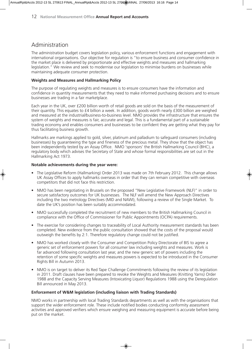### Administration

The administration budget covers legislation policy, various enforcement functions and engagement with international organisations. Our objective for regulation is "to ensure business and consumer confidence in the market place is delivered by proportionate and effective weights and measures and hallmarking legislation." We review and seek to modernise our legislation to minimise burdens on businesses while maintaining adequate consumer protection.

#### **Weights and Measures and Hallmarking Policy**

The purpose of regulating weights and measures is to ensure consumers have the information and confidence in quantity measurements that they need to make informed purchasing decisions and to ensure businesses are trading in a fair marketplace.

Each year in the UK, over £200 billion worth of retail goods are sold on the basis of the measurement of their quantity. This equates to £4 billion a week. In addition, goods worth nearly £300 billion are weighed and measured at the industrial/business-to-business level. NMO provides the infrastructure that ensures the system of weights and measures is fair, accurate and legal. This is a fundamental part of a sustainable trading economy and enables consumers and businesses to be confident they are getting what they pay for thus facilitating business growth.

Hallmarks are markings applied to gold, silver, platinum and palladium to safeguard consumers (including businesses) by guaranteeing the type and fineness of the precious metal. They show that the object has been independently tested by an Assay Office. NMO 'sponsors' the British Hallmarking Council (BHC), a regulatory body which advises the Secretary of State and whose formal responsibilities are set out in the Hallmarking Act 1973.

#### **Notable achievements during the year were:**

- The Legislative Reform (Hallmarking) Order 2013 was made on 7th February 2012. This change allows UK Assay Offices to apply hallmarks overseas in order that they can remain competitive with overseas competitors that did not face this restriction.
- NMO has been negotiating in Brussels on the proposed "New Legislative Framework (NLF)" in order to secure satisfactory outcomes for UK businesses. The NLF will amend the New Approach Directives including the two metrology Directives (MID and NAWI), following a review of the Single Market. To date the UK's position has been suitably accommodated.
- NMO successfully completed the recruitment of new members to the British Hallmarking Council in compliance with the Office of Commissioner for Public Appointments (OCPA) requirements.
- The exercise for considering changes to traceability of Local Authority measurement standards has been completed. New evidence from the public consultation showed that the costs of the proposal would outweigh the benefits by 2:1. Therefore regulatory change could not be justified.
- NMO has worked closely with the Consumer and Competition Policy Directorate of BIS to agree a generic set of enforcement powers for all consumer law including weights and measures. Work is far advanced following consultation last year, and the new generic set of powers including the retention of some specific weights and measures powers is expected to be introduced in the Consumer Rights Bill in Autumn 2013.
- NMO is on target to deliver its Red Tape Challenge Commitments following the review of its legislation in 2011. Draft clauses have been prepared to revoke the Weights and Measures (Knitting Yarns) Order 1988 and the Capacity Serving Measures (Intoxicating Liquor) Regulations 1988 using the Deregulation Bill announced in May 2013.

#### **Enforcement of W&M legislation (including liaison with Trading Standards)**

NMO works in partnership with local Trading Standards departments as well as with the organisations that support the wider enforcement role. These include notified bodies conducting conformity assessment activities and approved verifiers which ensure weighing and measuring equipment is accurate before being put on the market.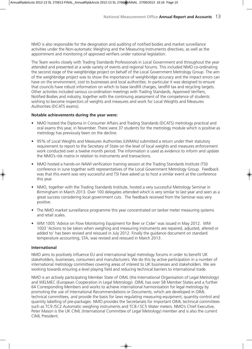NMO is also responsible for the designation and auditing of notified bodies and market surveillance activities under the Non-automatic Weighing and the Measuring Instruments directives, as well as the appointment and monitoring of approved verifiers under national legislation.

The Team works closely with Trading Standards Professionals in Local Government and throughout the year attended and presented at a wide variety of events and regional forums. This included NMO co-ordinating the second stage of the weighbridge project on behalf of the Local Government Metrology Group. The aim of the weighbridge project was to show the importance of weighbridge accuracy and the impact errors can have on the environment, cost to businesses and local authorities. In particular it was designed to ensure that councils have robust information on which to base landfill charges, landfill tax and recycling targets. Other activities included various co-ordination meetings with Trading Standards, Approved Verifiers, Notified Bodies and industry, together with the continuing assessment of the competence of students wishing to become inspectors of weights and measures and work for Local Weights and Measures Authorities (DCATS exams).

#### **Notable achievements during the year were:**

- NMO hosted the Diploma in Consumer Affairs and Trading Standards (DCATS) metrology practical and oral exams this year, in November. There were 37 students for the metrology module which is positive as metrology has previously been on the decline.
- 95% of Local Weights and Measures Authorities (LWMAs) submitted a return under their statutory requirement to report to the Secretary of State on the level of local weights and measures enforcement work conducted over a twelve month period. The information is used as evidence to inform and update the NMO's risk matrix in relation to instruments and transactions.
- NMO hosted a hands-on NAWI verification training session at the Trading Standards Institute (TSI) conference in June together with representatives of the Local Government Metrology Group. Feedback was that this event was very successful and TSI have asked us to host a similar event at the conference this year.
- NMO, together with the Trading Standards Institute, hosted a very successful Metrology Seminar in Birmingham in March 2013. Over 100 delegates attended which is very similar to last year and seen as a great success considering local government cuts. The feedback received from the Seminar was very positive.
- The NMO market surveillance programme this year concentrated on tanker meter measuring systems and retail scales.
- WM 1005 'Advice on Flow Monitoring Equipment for Beer or Cider' was issued in May 2012. WM 1003 'Actions to be taken when weighing and measuring instruments are repaired, adjusted, altered or added to' has been revised and reissued in July 2012. Finally the guidance document on standard temperature accounting, STA, was revised and reissued in March 2013.

#### **International**

NMO aims to positively influence EU and international legal metrology forums in order to benefit UK stakeholders, businesses, consumers and manufacturers. We do this by active participation in a number of international metrology committees covering areas of interest to UK businesses and stakeholders. We are working towards ensuring a level playing field and reducing technical barriers to international trade.

NMO is an actively participating Member State of OIML (the International Organisation of Legal Metrology) and WELMEC (European Cooperation in Legal Metrology). OIML has over 58 Member States and a further 64 Corresponding Members and works to achieve international harmonisation for legal metrology by promoting the use of International Recommendations or Documents, which are developed in OIML technical committees, and provide the basis for laws regulating measuring equipment, quantity control and quantity labelling of pre-packages. NMO provides the Secretariats for important OIML technical committees such as TC9 /SC2 Automatic weighing instruments and TC8 / SC5 Water meters. NMO's Chief Executive, Peter Mason is the UK CIML (International Committee of Legal Metrology) member and is also the current CIML President.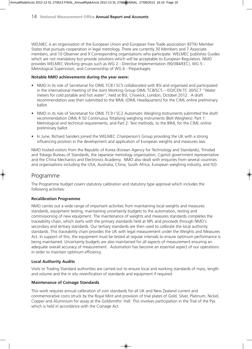WELMEC is an organisation of the European Union and European Free Trade association (EFTA) Member States that pursues cooperation in legal metrology. There are currently 30 Members and 7 Associate members, and 10 Observer and 9 Corresponding organisations who participate. WELMEC publishes Guides which are not mandatory but provide solutions which will be acceptable to European Regulators. NMO provides WELMEC Working groups such as WG 2 - Directive Implementation (90/384/EEC), WG 5 - Metrological Supervision, and Convenorship of WG 6 - Prepackages.

#### **Notable NMO achievements during the year were:**

- NMO in its role of Secretariat for OIML TC8 / SC5 collaborated with BSI and organised and participated in the international meeting of the Joint Working Group OIML TC8/SC5 – ISO/CEN TC 30/SC7 "Water meters for cold potable and hot water", held at BSI, Chiswick, London, October 2012. A draft recommendation was then submitted to the BIML (OIML Headquarters) for the CIML online preliminary ballot.
- NMO in its role of Secretariat for OIML TC9 / SC2 Automatic Weighing Instruments submitted the draft recommendation OIML R 50 Continuous Totalising weighing instruments (Belt Weighers): Part 1: Metrological and technical requirements; and Part 2: Test methods, to the BIML for the CIML online preliminary ballot.
- In June, Richard Sanders joined the WELMEC Chairperson's Group providing the UK with a strong influencing position in the development and application of European weights and measures law.

NMO hosted visitors from the Republic of Korea (Korean Agency for Technology and Standards), Trinidad and Tobago Bureau of Standards, the Japanese metrology organisation, Cypriot government representative and the China Mechanics and Electronics Academy. NMO also dealt with enquiries from several countries and organisations including the USA, Australia, China, South Africa, European weighing industry, and ISO.

#### Programme

The Programme budget covers statutory calibration and statutory type approval which includes the following activities:

#### **Recalibration Programme**

NMO carries out a wide range of important activities from maintaining local weights and measures standards, equipment testing, maintaining uncertainty budgets to the automation, testing and commissioning of new equipment. The maintenance of weights and measures standards completes the traceability chain, which starts with the primary standards held at NPL and proceeds through NMO's secondary and tertiary standards. Our tertiary standards are then used to calibrate the local authority standards. This traceability chain provides the UK with legal measurement under the Weights and Measures Act. In support of this, the equipment must be tested at regular intervals to ensure optimum performance is being maintained. Uncertainty budgets are also maintained for all aspects of measurement ensuring an adequate overall accuracy of measurement. Automation has become an essential aspect of our operations in order to maintain optimum efficiency.

#### **Local Authority Audits**

Visits to Trading Standard authorities are carried out to ensure local and working standards of mass, length and volume and the in situ reverification of standards and equipment if required.

#### **Maintenance of Coinage Standards**

This work requires annual calibration of coin standards for all UK and New Zealand current and commemorative coins struck by the Royal Mint and provision of trial plates of Gold, Silver, Platinum, Nickel, Copper and Aluminium for assay at the Goldsmiths' Hall. This involves participation in the Trial of the Pyx which is held in accordance with the Coinage Act.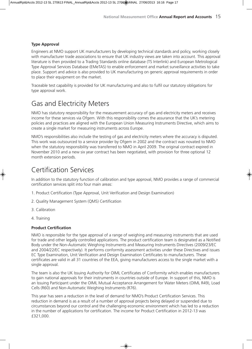#### **Type Approval**

Engineers at NMO support UK manufacturers by developing technical standards and policy, working closely with manufacturer trade associations to ensure that UK industry views are taken into account. This approval literature is then provided to a Trading Standards online database (TS Interlink) and European Metrological Type Approval Services Database (EMeTAS) to enable enforcement and market surveillance activities to take place. Support and advice is also provided to UK manufacturing on generic approval requirements in order to place their equipment on the market.

Traceable test capability is provided for UK manufacturing and also to fulfil our statutory obligations for type approval work.

### Gas and Electricity Meters

NMO has statutory responsibility for the measurement accuracy of gas and electricity meters and receives income for these services via Ofgem. With this responsibility comes the assurance that the UK's metering policies and practices are aligned with the European Union Measuring Instruments Directive, which aims to create a single market for measuring instruments across Europe.

NMO's responsibilities also include the testing of gas and electricity meters where the accuracy is disputed. This work was outsourced to a service provider by Ofgem in 2002 and the contract was novated to NMO when the statutory responsibility was transferred to NMO in April 2009. The original contract expired in November 2010 and a new six year contract has been negotiated, with provision for three optional 12 month extension periods.

### Certification Services

In addition to the statutory function of calibration and type approval, NMO provides a range of commercial certification services split into four main areas:

- 1. Product Certification (Type Approval, Unit Verification and Design Examination)
- 2. Quality Management System (QMS) Certification
- 3. Calibration
- 4. Training

#### **Product Certification**

NMO is responsible for the type approval of a range of weighing and measuring instruments that are used for trade and other legally controlled applications. The product certification team is designated as a Notified Body under the Non-Automatic Weighing Instruments and Measuring Instruments Directives (2009/23/EC and 2004/22/EC respectively). It performs conformity assessment activities under these Directives and issues EC Type Examination, Unit Verification and Design Examination Certificates to manufacturers. These certificates are valid in all 31 countries of the EEA, giving manufacturers access to the single market with a single approval.

The team is also the UK Issuing Authority for OIML Certificates of Conformity which enables manufacturers to gain national approvals for their instruments in countries outside of Europe. In support of this, NMO is an Issuing Participant under the OIML Mutual Acceptance Arrangement for Water Meters (OIML R49), Load Cells (R60) and Non-Automatic Weighing Instruments (R76).

This year has seen a reduction in the level of demand for NMO's Product Certification Services. This reduction in demand is as a result of a number of approval projects being delayed or suspended due to circumstances beyond our control and the challenging economic environment which has led to a reduction in the number of applications for certification. The income for Product Certification in 2012-13 was £321,000.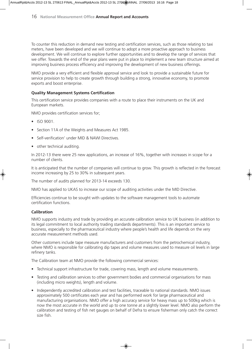To counter this reduction in demand new testing and certification services, such as those relating to taxi meters, have been developed and we will continue to adopt a more proactive approach to business development. We will continue to explore further opportunities and to develop the range of services that we offer. Towards the end of the year plans were put in place to implement a new team structure aimed at improving business process efficiency and improving the development of new business offerings.

NMO provide a very efficient and flexible approval service and look to provide a sustainable future for service provision to help to create growth through building a strong, innovative economy, to promote exports and boost enterprise.

#### **Quality Management Systems Certification**

This certification service provides companies with a route to place their instruments on the UK and European markets.

NMO provides certification services for;

- ISO 9001.
- Section 11A of the Weights and Measures Act 1985.
- Self-verification' under MID & NAWI Directives.
- other technical auditing.

In 2012-13 there were 25 new applications, an increase of 16%, together with increases in scope for a number of clients.

It is anticipated that the number of companies will continue to grow. This growth is reflected in the forecast income increasing by 25 to 30% in subsequent years.

The number of audits planned for 2013-14 exceeds 130.

NMO has applied to UKAS to increase our scope of auditing activities under the MID Directive.

Efficiencies continue to be sought with updates to the software management tools to automate certification functions.

#### **Calibration**

NMO supports industry and trade by providing an accurate calibration service to UK business (in addition to its legal commitment to local authority trading standards departments). This is an important service to business, especially to the pharmaceutical industry where people's health and life depends on the very accurate measurement methods used.

Other customers include tape measure manufacturers and customers from the petrochemical industry, where NMO is responsible for calibrating dip tapes and volume measures used to measure oil levels in large refinery tanks.

The Calibration team at NMO provide the following commercial services:

- Technical support infrastructure for trade, covering mass, length and volume measurements.
- Testing and calibration services to other government bodies and commercial organisations for mass (including micro weights), length and volume.
- Independently accredited calibration and test facilities, traceable to national standards. NMO issues approximately 500 certificates each year and has performed work for large pharmaceutical and manufacturing organisations. NMO offer a high accuracy service for heavy mass up to 500kg which is now the most accurate in the world and up to one tonne at a slightly lower level. NMO also perform the calibration and testing of fish net gauges on behalf of Defra to ensure fisherman only catch the correct size fish.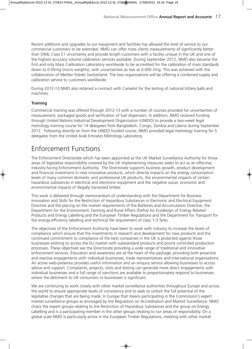Recent additions and upgrades to our equipment and facilities has allowed the level of service to our commercial customers to be extended. NMO can offer mass clients measurements of significantly better than OIML Class E1 uncertainty and provide length customers with a facility unique in the UK and one of the highest accuracy volume calibration services available. During September 2012, NMO also became the first and only Mass Calibration Laboratory worldwide to be accredited for the calibration of mass standards down to 0.05mg (micro weights), with uncertainties as low as 0.000 2mg. This was achieved with the collaboration of Mettler-Toledo Switzerland. The two organisations will be offering a combined supply and calibration service to customers worldwide.

During 2012-13 NMO also retained a contract with Camelot for the testing of national lottery balls and machines.

#### **Training**

Commercial training was offered through 2012-13 with a number of courses provided for uncertainties of measurement, packaged goods and verification of fuel dispensers. In addition, NMO received funding through United Nations Industrial Development Organization (UNIDO) to provide a two-week legal metrology training course for 14 delegates from Bangladesh, Congo, Zambia and Liberia during September 2012. Following directly on from the UNIDO funded course, NMO provided legal metrology training for 5 delegates from the United Arab Emirates Metrology Laboratory.

### Enforcement Functions

The Enforcement Directorate which has been appointed as the UK Market Surveillance Authority for those areas of legislative responsibility covered by the UK implementing measures seeks to act as an effective, industry-facing Enforcement Authority. The Directorate supports business growth, product development and financial investment in new innovative products, which directly impacts on the energy consumption levels of many common domestic and professional UK products, the environmental impacts of certain hazardous substances in electrical and electronic equipment and the negative social, economic and environmental impacts of illegally harvested timber.

This work is delivered through memorandum of understanding with the Department for Business Innovation and Skills for the Restriction of Hazardous Substances in Electronic and Electrical Equipment Directive and the placing on the market requirements of the Batteries and Accumulators Directive, the Department for the Environment, Farming and Rural Affairs (Defra) for Ecodesign of Energy Related Products and Energy Labelling and the European Timber Regulations and the Department for Transport for the energy efficiency labelling and technical file requirement of class 1-3 Tyres.

The objectives of the Enforcement Authority have been to work with industry to increase the levels of compliance which ensure that the investments in research and development for new products and the continued commitment to compliance of the best companies in the UK is protected against those businesses wishing to access the EU market with substandard products and poorly controlled production processes. These objectives see the Directorate providing a wide range of traditional and innovative enforcement services. Education and awareness are at the heart of the package, providing both proactive and reactive engagements with individual businesses, trade representatives and international organisations. An active web-presence provides useful information and an enquiry service allowing businesses to access advice and support. Complaints, projects, visits and testing can generate more direct engagements with individual businesses and a full range of sanctions are available to proportionately respond to businesses where the detriment to UK consumers or businesses is significant.

We are continuing to work closely with other market surveillance authorities throughout Europe and across the world to ensure appropriate levels of consistency and to seek to unlock the full potential of the legislative changes that are being made. In Europe that means participating in the Commission's expert market surveillance groups as envisaged by the Regulation on Accreditation and Market Surveillance. NMO chairs the expert groups relating to the Restriction of Hazardous Substances and the group on Energy Labelling and is a participating member in the other groups relating to our areas of responsibility. On a global scale NMO is particularly active in the European Timber Regulations, meeting with other market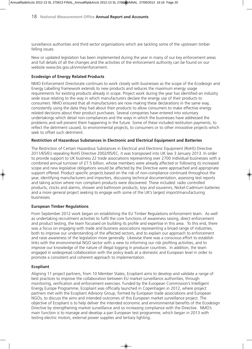surveillance authorities and third sector organisations which are tackling some of the upstream timber felling issues.

New or updated legislation has been implemented during the year in many of our key enforcement areas and full details of all the changes and the activities of the enforcement authority can be found on our website www.bis.gov.uk\nmo\enforcement.

#### **Ecodesign of Energy Related Products**

NMO Enforcement Directorate continues to work closely with businesses as the scope of the Ecodesign and Energy Labelling framework extends to new products and reduces the maximum energy usage requirements for existing products already in scope. Project work during the year has identified an industry wide issue relating to the way in which manufacturers declare the energy use of their products to consumers. NMO ensured that all manufacturers are now making these declarations in the same way, consistently using the data they had about their products to allow consumers to make effective energy related decisions about their product purchases. Several companies have entered into voluntary undertakings which detail non-compliances and the ways in which the businesses have addressed the problems and will prevent them happening in the future. Some of these included restitution payments, to reflect the detriment caused, to environmental projects, to consumers or to other innovative projects which seek to offset such detriment.

#### **Restriction of Hazardous Substances in Electronic and Electrical Equipment and Batteries**

The Restriction of Certain Hazardous Substances in Electrical and Electronic Equipment (RoHS) Directive 2011/65/EU repealing RoHS Directive 2002/95/EC, it was transposed into UK law 3 January 2013. In order to provide support to UK business 22 trade associations representing over 2700 individual businesses with a combined annual turnover of £7.5 billion, whose members were already affected or following its increased scope and new legislative obligations would be affected by the Directive were approached and appropriate support offered. Product specific projects based on the risk of non-compliance continued throughout the year, identifying manufacturers and importers, discussing technical documentation, assessing test reports and taking action where non compliant products were discovered. These included: radio controlled products, clocks and alarms, shower and bathroom products, toys and souvenirs, Nickel-Cadmium batteries and a more general project seeking to engage with some of the UK's largest import/manufacturing businesses.

#### **European Timber Regulations**

From September 2012 work began on establishing the EU Timber Regulations enforcement team. As well as undertaking recruitment activities to fulfil the core functions of awareness raising, direct enforcement and product testing, the team focussed on building its profile and expertise in this area. To this end, there was a focus on engaging with trade and business associations representing a broad range of industries, both to improve our understanding of the affected sectors, and to explain our approach to enforcement and raise awareness of the legislation more generally. Likewise there was a conscious effort to establish links with the environmental NGO sector with a view to informing our risk profiling activities, and to improve our knowledge of the nature of illegal logging in producer countries. In addition, the team engaged in widespread collaboration with the policy leads at a domestic and European level in order to promote a consistent and coherent approach to implementation.

#### **Ecopliant**

Aligning 11 project partners, from 10 Member States, Ecopliant aims to develop and validate a range of best practices to improve the collaboration between EU market surveillance authorities, through monitoring, verification and enforcement exercises. Funded by the European Commission's Intelligent Energy Europe Programme, Ecopliant was officially launched in Copenhagen in 2012, where project partners met with the Ecopliant Advisory Group, formed by European trade associations and European NGOs, to discuss the aims and intended outcomes of this European market surveillance project. The objective of Ecopliant is to help deliver the intended economic and environmental benefits of the Ecodesign Directive by strengthening market surveillance and so increasing compliance with the Directive. NMO's main function is to manage and develop a pan European test programme, which began in 2013 with testing electric motors, external power supplies and tertiary lighting.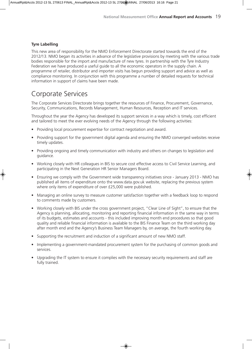#### **Tyre Labelling**

This new area of responsibility for the NMO Enforcement Directorate started towards the end of the 2012/13. NMO began its activities in advance of the legislative provisions by meeting with the various trade bodies responsible for the import and manufacture of new tyres. In partnership with the Tyre Industry Federation we have produced a useful guide to all the economic operators in the supply chain. A programme of retailer, distributor and importer visits has begun providing support and advice as well as compliance monitoring. In conjunction with this programme a number of detailed requests for technical information in support of claims have been made.

### Corporate Services

The Corporate Services Directorate brings together the resources of Finance, Procurement, Governance, Security, Communications, Records Management, Human Resources, Reception and IT services.

Throughout the year the Agency has developed its support services in a way which is timely, cost efficient and tailored to meet the ever evolving needs of the Agency through the following activities:

- Providing local procurement expertise for contract negotiation and award.
- Providing support for the government digital agenda and ensuring the NMO converged websites receive timely updates.
- Providing ongoing and timely communication with industry and others on changes to legislation and guidance.
- Working closely with HR colleagues in BIS to secure cost effective access to Civil Service Learning, and participating in the Next Generation HR Senior Managers Board.
- Ensuring we comply with the Government wide transparency initiatives since January 2013 NMO has published all items of expenditure onto the www.data.gov.uk website, replacing the previous system where only items of expenditure of over £25,000 were published.
- Managing an online survey to measure customer satisfaction together with a feedback loop to respond to comments made by customers.
- Working closely with BIS under the cross government project, "Clear Line of Sight", to ensure that the Agency is planning, allocating, monitoring and reporting financial information in the same way in terms of its budgets, estimates and accounts - this included improving month end procedures so that good quality and reliable financial information is available to the BIS Finance Team on the third working day after month end and the Agency's Business Team Managers by, on average, the fourth working day.
- Supporting the recruitment and induction of a significant amount of new NMO staff.
- Implementing a government-mandated procurement system for the purchasing of common goods and services.
- Upgrading the IT system to ensure it complies with the necessary security requirements and staff are fully trained.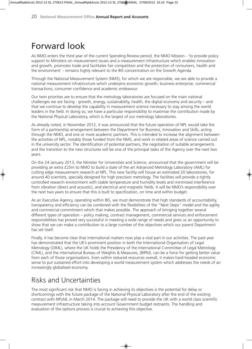## Forward look

As NMO enters the third year of the current Spending Review period, the NMO Mission - 'to provide policy support to Ministers on measurement issues and a measurement infrastructure which enables innovation and growth, promotes trade and facilitates fair competition and the protection of consumers, health and the environment' - remains highly relevant to the BIS concentration on the Growth Agenda.

Through the National Measurement System (NMS), for which we are responsible, we are able to provide a national measurement infrastructure which underpins economic growth, business enterprise, commercial transactions, consumer confidence and academic endeavour.

Our twin priorities are to ensure that the metrology laboratories are focused on the main national challenges we are facing - growth, energy, sustainability, health, the digital economy and security – and that we continue to develop the capability in measurement science necessary to stay among the world leaders in the field. In doing so, we have a particular responsibility to maximise the contribution made by the National Physical Laboratory, which is the largest of our metrology laboratories.

As already noted, in November 2012, it was announced that the future operation of NPL would take the form of a partnership arrangement between the Department for Business, Innovation and Skills, acting through the NMO, and one or more academic partners. This is intended to increase the alignment between the activities of NPL, notably those funded from the NMS, and work in related areas of science carried out in the university sector. The identification of potential partners, the negotiation of suitable arrangements and the transition to the new structures will be one of the principal tasks of the Agency over the next two years.

On the 24 January 2013, the Minister for Universities and Science, announced that the government will be providing an extra £25m to NMO to build a state of the art Advanced Metrology Laboratory (AML) for cutting edge measurement research at NPL. This new facility will house an estimated 20 laboratories, for around 40 scientists, specially designed for high precision metrology. The facilities will provide a tightly controlled research environment with stable temperature and humidity levels and minimised interference from vibration (direct and acoustic), and electrical and magnetic fields. It will be NMO's responsibility over the next two years to ensure that this is built to specification, on time and within budget.

As an Executive Agency, operating within BIS, we must demonstrate that high standards of accountability, transparency and efficiency can be combined with the flexibilities of the "Next Steps" model and the agility and commercial commitment which that makes possible. The approach of bringing together several different types of operation – policy making, contract management, commercial services and enforcement responsibilities has proved very successful in meeting a wide range of needs and gives us an opportunity to show that we can make a contribution to a large number of the objectives which our parent Department has set itself.

Finally, it has become clear that international matters now play a vital part in our activities. The past year has demonstrated that the UK's prominent position in both the International Organisation of Legal Metrology (OIML), where the UK holds the Presidency of the International Committee of Legal Metrology (CIML), and the international Bureau of Weights & Measures, (BIPM), can be a force for getting better value from each of those organisations. Even within reduced resources overall, it makes hard-headed economic sense to put sustained effort into developing a world measurement system which addresses the needs of an increasingly globalised economy.

### Risks and Uncertainties

The most significant risk that NMO is facing in achieving its objectives is the potential for delay or shortcomings with the future package of the National Physical Laboratory after the end of the existing contract with NPLML in March 2014. The package will need to provide the UK with a world class scientific measurement infrastructure taking into account Government budget restraints. The handling and evaluation of the options process is crucial to achieving this objective.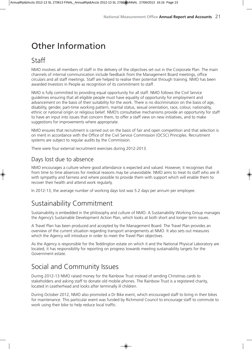## Other Information

### Staff

NMO involves all members of staff in the delivery of the objectives set out in the Corporate Plan. The main channels of internal communication include feedback from the Management Board meetings, office circulars and all staff meetings. Staff are helped to realise their potential through training. NMO has been awarded Investors in People as recognition of its commitment to staff.

NMO is fully committed to providing equal opportunity for all staff. NMO follows the Civil Service guidelines ensuring that all eligible people must have equality of opportunity for employment and advancement on the basis of their suitability for the work. There is no discrimination on the basis of age, disability, gender, part-time working pattern, marital status, sexual orientation, race, colour, nationality, ethnic or national origin or religious belief. NMO's consultative mechanisms provide an opportunity for staff to have an input into issues that concern them, to offer a staff view on new initiatives, and to make suggestions for improvements where appropriate.

NMO ensures that recruitment is carried out on the basis of fair and open competition and that selection is on merit in accordance with the Office of the Civil Service Commission (OCSC) Principles. Recruitment systems are subject to regular audits by the Commission.

There were four external recruitment exercises during 2012-2013.

### Days lost due to absence

NMO encourages a culture where good attendance is expected and valued. However, it recognises that from time to time absences for medical reasons may be unavoidable. NMO aims to treat its staff who are ill with sympathy and fairness and where possible to provide them with support which will enable them to recover their health and attend work regularly.

In 2012-13, the average number of working days lost was 5.2 days per annum per employee.

### Sustainability Commitment

Sustainability is embedded in the philosophy and culture of NMO. A Sustainability Working Group manages the Agency's Sustainable Development Action Plan, which looks at both short and longer term issues.

A Travel Plan has been produced and accepted by the Management Board. The Travel Plan provides an overview of the current situation regarding transport arrangements at NMO. It also sets out measures which the Agency will introduce in order to meet the Travel Plan objectives.

As the Agency is responsible for the Teddington estate on which it and the National Physical Laboratory are located, it has responsibility for reporting on progress towards meeting sustainability targets for the Government estate.

### Social and Community Issues

During 2012-13 NMO raised money for the Rainbow Trust instead of sending Christmas cards to stakeholders and asking staff to donate old mobile phones. The Rainbow Trust is a registered charity, located in Leatherhead and looks after terminally ill children.

During October 2012, NMO also promoted a Dr Bike event, which encouraged staff to bring in their bikes for maintenance. This particular event was funded by Richmond Council to encourage staff to commute to work using their bike to help reduce local traffic.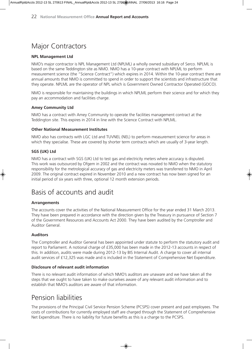### Major Contractors

#### **NPL Management Ltd**

NMO's major contractor is NPL Management Ltd (NPLML) a wholly owned subsidiary of Serco. NPLML is based on the same Teddington site as NMO. NMO has a 10-year contract with NPLML to perform measurement science (the "Science Contract") which expires in 2014. Within the 10-year contract there are annual amounts that NMO is committed to spend in order to support the scientists and infrastructure that they operate. NPLML are the operator of NPL which is Government Owned Contractor Operated (GOCO).

NMO is responsible for maintaining the buildings in which NPLML perform their science and for which they pay an accommodation and facilities charge.

#### **Amey Community Ltd**

NMO has a contract with Amey Community to operate the facilities management contract at the Teddington site. This expires in 2014 in line with the Science Contract with NPLML.

#### **Other National Measurement Institutes**

NMO also has contracts with LGC Ltd and TUVNEL (NEL) to perform measurement science for areas in which they specialise. These are covered by shorter term contracts which are usually of 3-year length.

#### **SGS (UK) Ltd**

NMO has a contract with SGS (UK) Ltd to test gas and electricity meters where accuracy is disputed. This work was outsourced by Ofgem in 2002 and the contract was novated to NMO when the statutory responsibility for the metrological accuracy of gas and electricity meters was transferred to NMO in April 2009. The original contract expired in November 2010 and a new contract has now been signed for an initial period of six years with three, optional 12 month extension periods.

### Basis of accounts and audit

#### **Arrangements**

The accounts cover the activities of the National Measurement Office for the year ended 31 March 2013. They have been prepared in accordance with the direction given by the Treasury in pursuance of Section 7 of the Government Resources and Accounts Act 2000. They have been audited by the Comptroller and Auditor General.

#### **Auditors**

The Comptroller and Auditor General has been appointed under statute to perform the statutory audit and report to Parliament. A notional charge of £35,000 has been made in the 2012-13 accounts in respect of this. In addition, audits were made during 2012-13 by BIS Internal Audit. A charge to cover all internal audit services of £12,325 was made and is included in the Statement of Comprehensive Net Expenditure.

#### **Disclosure of relevant audit information**

There is no relevant audit information of which NMO's auditors are unaware and we have taken all the steps that we ought to have taken to make ourselves aware of any relevant audit information and to establish that NMO's auditors are aware of that information.

### Pension liabilities

The provisions of the Principal Civil Service Pension Scheme (PCSPS) cover present and past employees. The costs of contributions for currently employed staff are charged through the Statement of Comprehensive Net Expenditure. There is no liability for future benefits as this is a charge to the PCSPS.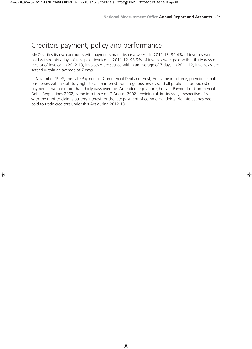### Creditors payment, policy and performance

NMO settles its own accounts with payments made twice a week. In 2012-13, 99.4% of invoices were paid within thirty days of receipt of invoice. In 2011-12, 98.9% of invoices were paid within thirty days of receipt of invoice. In 2012-13, invoices were settled within an average of 7 days. In 2011-12, invoices were settled within an average of 7 days.

In November 1998, the Late Payment of Commercial Debts (Interest) Act came into force, providing small businesses with a statutory right to claim interest from large businesses (and all public sector bodies) on payments that are more than thirty days overdue. Amended legislation (the Late Payment of Commercial Debts Regulations 2002) came into force on 7 August 2002 providing all businesses, irrespective of size, with the right to claim statutory interest for the late payment of commercial debts. No interest has been paid to trade creditors under this Act during 2012-13.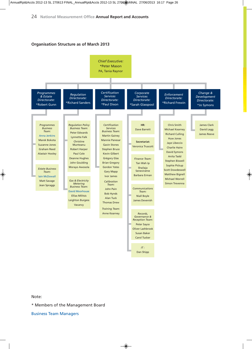#### **Organisation Structure as of March 2013**



Note:

\* Members of the Management Board

Business Team Managers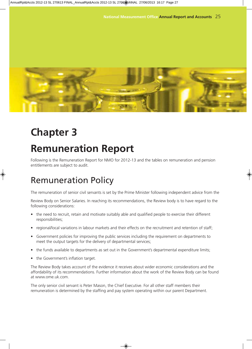![](_page_25_Picture_1.jpeg)

## **Chapter 3**

## **Remuneration Report**

Following is the Remuneration Report for NMO for 2012-13 and the tables on remuneration and pension entitlements are subject to audit.

## Remuneration Policy

The remuneration of senior civil servants is set by the Prime Minister following independent advice from the

Review Body on Senior Salaries. In reaching its recommendations, the Review body is to have regard to the following considerations:

- the need to recruit, retain and motivate suitably able and qualified people to exercise their different responsibilities;
- regional/local variations in labour markets and their effects on the recruitment and retention of staff;
- Government policies for improving the public services including the requirement on departments to meet the output targets for the delivery of departmental services;
- the funds available to departments as set out in the Government's departmental expenditure limits;
- the Government's inflation target.

The Review Body takes account of the evidence it receives about wider economic considerations and the affordability of its recommendations. Further information about the work of the Review Body can be found at www.ome.uk.com.

The only senior civil servant is Peter Mason, the Chief Executive. For all other staff members their remuneration is determined by the staffing and pay system operating within our parent Department.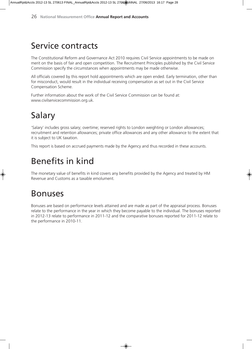## Service contracts

The Constitutional Reform and Governance Act 2010 requires Civil Service appointments to be made on merit on the basis of fair and open competition. The Recruitment Principles published by the Civil Service Commission specify the circumstances when appointments may be made otherwise.

All officials covered by this report hold appointments which are open ended. Early termination, other than for misconduct, would result in the individual receiving compensation as set out in the Civil Service Compensation Scheme.

Further information about the work of the Civil Service Commission can be found at: www.civilservicecommission.org.uk.

## Salary

'Salary' includes gross salary; overtime; reserved rights to London weighting or London allowances; recruitment and retention allowances; private office allowances and any other allowance to the extent that it is subject to UK taxation.

This report is based on accrued payments made by the Agency and thus recorded in these accounts.

## Benefits in kind

The monetary value of benefits in kind covers any benefits provided by the Agency and treated by HM Revenue and Customs as a taxable emolument.

## Bonuses

Bonuses are based on performance levels attained and are made as part of the appraisal process. Bonuses relate to the performance in the year in which they become payable to the individual. The bonuses reported in 2012-13 relate to performance in 2011-12 and the comparative bonuses reported for 2011-12 relate to the performance in 2010-11.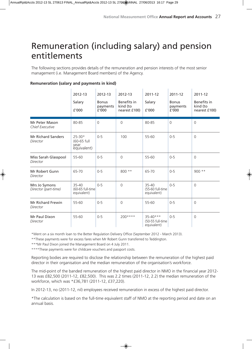## Remuneration (including salary) and pension entitlements

The following sections provides details of the remuneration and pension interests of the most senior management (i.e. Management Board members) of the Agency.

| <b>Remuneration (salary and payments in kind)</b> |  |  |
|---------------------------------------------------|--|--|
|                                                   |  |  |

|                                          | 2012-13<br>Salary<br>f'000                       | 2012-13<br><b>Bonus</b><br>payments<br>f'000 | 2012-13<br>Benefits in<br>kind (to<br>nearest £100) | 2011-12<br>Salary<br>f'000                      | 2011-12<br><b>Bonus</b><br>payments<br>f'000 | 2011-12<br>Benefits in<br>kind (to<br>nearest £100) |
|------------------------------------------|--------------------------------------------------|----------------------------------------------|-----------------------------------------------------|-------------------------------------------------|----------------------------------------------|-----------------------------------------------------|
| Mr Peter Mason<br><b>Chief Executive</b> | 80-85                                            | $\Omega$                                     | $\Omega$                                            | 80-85                                           | $\mathsf{O}\xspace$                          | $\Omega$                                            |
| <b>Mr Richard Sanders</b><br>Director    | $25 - 30*$<br>(60-65 full<br>year<br>équivalent) | $0 - 5$                                      | 100                                                 | 55-60                                           | $0 - 5$                                      | $\Omega$                                            |
| Miss Sarah Glasspool<br>Director         | 55-60                                            | $0 - 5$                                      | $\Omega$                                            | 55-60                                           | $0 - 5$                                      | $\Omega$                                            |
| Mr Robert Gunn<br>Director               | 65-70                                            | $0 - 5$                                      | $800**$                                             | 65-70                                           | $0 - 5$                                      | $900**$                                             |
| Mrs Jo Symons<br>Director (part-time)    | 35-40<br>(60-65 full-time<br>equivalent)         | $0 - 5$                                      | $\Omega$                                            | 35-40<br>(55-60 full-time<br>equivalent)        | $0 - 5$                                      | $\Omega$                                            |
| <b>Mr Richard Frewin</b><br>Director     | 55-60                                            | $0 - 5$                                      | $\Omega$                                            | 55-60                                           | $0 - 5$                                      | $\Omega$                                            |
| Mr Paul Dixon<br>Director                | 55-60                                            | $0 - 5$                                      | $200***$                                            | $35 - 40***$<br>(50-55 full-time<br>equivalent) | $0 - 5$                                      | $\Omega$                                            |

\*Went on a six month loan to the Better Regulation Delivery Office (September 2012 - March 2013).

\*\*These payments were for excess fares when Mr Robert Gunn transferred to Teddington.

\*\*\*Mr Paul Dixon joined the Management Board on 4 July 2011.

\*\*\*\*These payments were for childcare vouchers and passport costs.

Reporting bodies are required to disclose the relationship between the remuneration of the highest paid director in their organisation and the median remuneration of the organisation's workforce.

The mid-point of the banded remuneration of the highest paid director in NMO in the financial year 2012- 13 was £82,500 (2011-12, £82,500). This was 2.2 times (2011-12, 2.2) the median remuneration of the workforce, which was \*£36,781 (2011-12, £37,220).

In 2012-13, no (2011-12, nil) employees received remuneration in excess of the highest paid director.

\*The calculation is based on the full-time equivalent staff of NMO at the reporting period and date on an annual basis.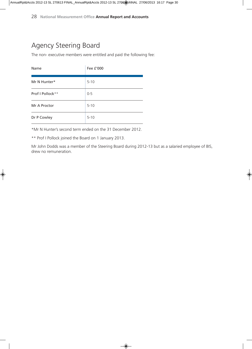### Agency Steering Board

The non- executive members were entitled and paid the following fee:

| Name             | Fee £'000 |
|------------------|-----------|
| Mr N Hunter*     | $5 - 10$  |
| Prof I Pollock** | $0 - 5$   |
| Mr A Proctor     | $5 - 10$  |
| Dr P Cowley      | $5 - 10$  |

\*Mr N Hunter's second term ended on the 31 December 2012.

\*\* Prof I Pollock joined the Board on 1 January 2013.

Mr John Dodds was a member of the Steering Board during 2012-13 but as a salaried employee of BIS, drew no remuneration.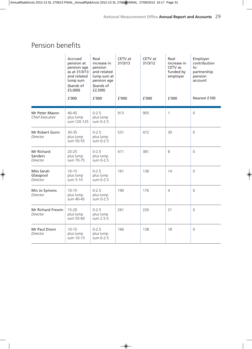### Pension benefits

|                                          | Accrued<br>pension at<br>pension age<br>as at 31/3/13<br>and related<br>lump sum<br>(bands of<br>£5,000)<br>f'000 | Real<br>increase in<br>pension<br>and related<br>lump sum at<br>pension age<br>(bands of<br>f2,500<br>f'000 | CETV at<br>31/3/13<br>f'000 | CETV at<br>31/3/12<br>f'000 | Real<br>increase in<br>CETV as<br>funded by<br>employer<br>f'000 | Employer<br>contribution<br>to<br>partnership<br>pension<br>account<br>Nearest £100 |
|------------------------------------------|-------------------------------------------------------------------------------------------------------------------|-------------------------------------------------------------------------------------------------------------|-----------------------------|-----------------------------|------------------------------------------------------------------|-------------------------------------------------------------------------------------|
| Mr Peter Mason<br><b>Chief Executive</b> | 40-45<br>plus lump<br>sum 120-125                                                                                 | $0 - 2.5$<br>plus lump<br>sum 0-2.5                                                                         | 913                         | 905                         | 1                                                                | $\mathbf 0$                                                                         |
| Mr Robert Gunn<br>Director               | $30 - 35$<br>plus lump<br>sum 50-55                                                                               | $0 - 2.5$<br>plus lump<br>sum 0-2.5                                                                         | 531                         | 472                         | 30                                                               | $\overline{0}$                                                                      |
| Mr Richard<br>Sanders<br>Director        | $20 - 25$<br>plus lump<br>sum 70-75                                                                               | $0 - 2.5$<br>plus lump<br>sum 0-2.5                                                                         | 411                         | 381                         | 8                                                                | $\mathsf{O}\xspace$                                                                 |
| Miss Sarah<br>Glasspool<br>Director      | $10 - 15$<br>plus lump<br>sum 5-10                                                                                | $0 - 2.5$<br>plus lump<br>sum 0-2.5                                                                         | 161                         | 136                         | 14                                                               | $\mathbf 0$                                                                         |
| Mrs Jo Symons<br><b>Director</b>         | $10 - 15$<br>plus lump<br>sum 40-45                                                                               | $0 - 2.5$<br>plus lump<br>sum 0-2.5                                                                         | 190                         | 176                         | 4                                                                | $\mathbf 0$                                                                         |
| Mr Richard Frewin<br>Director            | $15 - 20$<br>plus lump<br>sum 55-60                                                                               | $0 - 2.5$<br>plus lump<br>sum 2.5-5                                                                         | 261                         | 226                         | 21                                                               | $\mathsf{O}\xspace$                                                                 |
| Mr Paul Dixon<br>Director                | $10 - 15$<br>plus lump<br>sum 10-15                                                                               | $0 - 2.5$<br>plus lump<br>sum 0-2.5                                                                         | 166                         | 138                         | 18                                                               | $\mathsf{O}$                                                                        |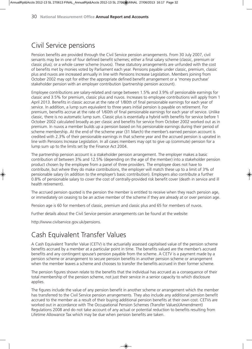### Civil Service pensions

Pension benefits are provided through the Civil Service pension arrangements. From 30 July 2007, civil servants may be in one of four defined benefit schemes; either a final salary scheme (classic, premium or classic plus); or a whole career scheme (nuvos). These statutory arrangements are unfunded with the cost of benefits met by monies voted by Parliament each year. Pensions payable under classic, premium, classic plus and nuvos are increased annually in line with Pensions Increase Legislation. Members joining from October 2002 may opt for either the appropriate defined benefit arrangement or a 'money purchase' stakeholder pension with an employer contribution (partnership pension account).

Employee contributions are salary-related and range between 1.5% and 3.9% of pensionable earnings for classic and 3.5% for premium, classic plus and nuvos. Increases to employee contributions will apply from 1 April 2013. Benefits in classic accrue at the rate of 1/80th of final pensionable earnings for each year of service. In addition, a lump sum equivalent to three years initial pension is payable on retirement. For premium, benefits accrue at the rate of 1/60th of final pensionable earnings for each year of service. Unlike classic, there is no automatic lump sum. Classic plus is essentially a hybrid with benefits for service before 1 October 2002 calculated broadly as per classic and benefits for service from October 2002 worked out as in premium. In nuvos a member builds up a pension based on his pensionable earnings during their period of scheme membership. At the end of the scheme year (31 March) the member's earned pension account is credited with 2.3% of their pensionable earnings in that scheme year and the accrued pension is uprated in line with Pensions Increase Legislation. In all cases members may opt to give up (commute) pension for a lump sum up to the limits set by the Finance Act 2004.

The partnership pension account is a stakeholder pension arrangement. The employer makes a basic contribution of between 3% and 12.5% (depending on the age of the member) into a stakeholder pension product chosen by the employee from a panel of three providers. The employee does not have to contribute, but where they do make contributions, the employer will match these up to a limit of 3% of pensionable salary (in addition to the employer's basic contribution). Employers also contribute a further 0.8% of pensionable salary to cover the cost of centrally-provided risk benefit cover (death in service and ill health retirement).

The accrued pension quoted is the pension the member is entitled to receive when they reach pension age, or immediately on ceasing to be an active member of the scheme if they are already at or over pension age.

Pension age is 60 for members of classic, premium and classic plus and 65 for members of nuvos.

Further details about the Civil Service pension arrangements can be found at the website:

http://www.civilservice.gov.uk/pensions.

### Cash Equivalent Transfer Values

A Cash Equivalent Transfer Value (CETV) is the actuarially assessed capitalised value of the pension scheme benefits accrued by a member at a particular point in time. The benefits valued are the member's accrued benefits and any contingent spouse's pension payable from the scheme. A CETV is a payment made by a pension scheme or arrangement to secure pension benefits in another pension scheme or arrangement when the member leaves a scheme and chooses to transfer the benefits accrued in their former scheme.

The pension figures shown relate to the benefits that the individual has accrued as a consequence of their total membership of the pension scheme, not just their service in a senior capacity to which disclosure applies.

The figures include the value of any pension benefit in another scheme or arrangement which the member has transferred to the Civil Service pension arrangements. They also include any additional pension benefit accrued to the member as a result of their buying additional pension benefits at their own cost. CETVs are worked out in accordance with The Occupational Pension Schemes (Transfer Values)(Amendment) Regulations 2008 and do not take account of any actual or potential reduction to benefits resulting from Lifetime Allowance Tax which may be due when pension benefits are taken.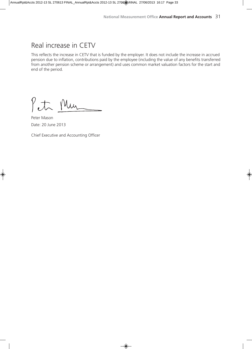### Real increase in CETV

This reflects the increase in CETV that is funded by the employer. It does not include the increase in accrued pension due to inflation, contributions paid by the employee (including the value of any benefits transferred from another pension scheme or arrangement) and uses common market valuation factors for the start and end of the period.

Petr Mur

Peter Mason Date: 20 June 2013

Chief Executive and Accounting Officer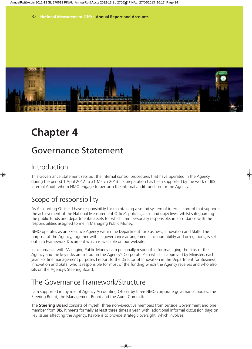![](_page_32_Picture_1.jpeg)

## **Chapter 4**

## Governance Statement

### Introduction

This Governance Statement sets out the internal control procedures that have operated in the Agency during the period 1 April 2012 to 31 March 2013. Its preparation has been supported by the work of BIS Internal Audit, whom NMO engage to perform the internal audit function for the Agency.

### Scope of responsibility

As Accounting Officer, I have responsibility for maintaining a sound system of internal control that supports the achievement of the National Measurement Office's policies, aims and objectives, whilst safeguarding the public funds and departmental assets for which I am personally responsible, in accordance with the responsibilities assigned to me in Managing Public Money.

NMO operates as an Executive Agency within the Department for Business, Innovation and Skills. The purpose of the Agency, together with its governance arrangements, accountability and delegations, is set out in a Framework Document which is available on our website.

In accordance with Managing Public Money I am personally responsible for managing the risks of the Agency and the key risks are set out in the Agency's Corporate Plan which is approved by Ministers each year. For line management purposes I report to the Director of Innovation in the Department for Business, Innovation and Skills, who is responsible for most of the funding which the Agency receives and who also sits on the Agency's Steering Board.

### The Governance Framework/Structure

I am supported in my role of Agency Accounting Officer by three NMO corporate governance bodies: the Steering Board, the Management Board and the Audit Committee.

The **Steering Board** consists of myself, three non-executive members from outside Government and one member from BIS. It meets formally at least three times a year, with additional informal discussion days on key issues affecting the Agency. Its role is to provide strategic oversight, which involves: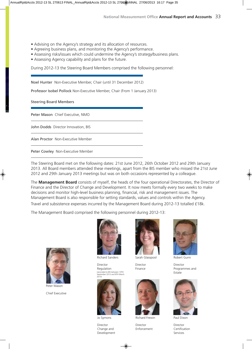- Advising on the Agency's strategy and its allocation of resources.
- Agreeing business plans, and monitoring the Agency's performance.
- Assessing risks/issues which could undermine the Agency's strategy/business plans.
- Assessing Agency capability and plans for the future.

During 2012-13 the Steering Board Members comprised the following personnel:

Noel Hunter Non-Executive Member, Chair (until 31 December 2012)

Professor Isobel Pollock Non-Executive Member, Chair (From 1 January 2013)

Steering Board Members

Peter Mason Chief Executive, NMO

John Dodds Director Innovation, BIS

Alan Proctor Non-Executive Member

Peter Cowley Non-Executive Member

The Steering Board met on the following dates: 21st June 2012, 26th October 2012 and 29th January 2013. All Board members attended these meetings, apart from the BIS member who missed the 21st June 2012 and 29th January 2013 meetings but was on both occasions represented by a colleague.

The **Management Board** consists of myself, the heads of the four operational Directorates, the Director of Finance and the Director of Change and Development. It now meets formally every two weeks to make decisions and monitor high-level business planning, financial, risk and management issues. The Management Board is also responsible for setting standards, values and controls within the Agency.

Travel and subsistence expenses incurred by the Management Board during 2012-13 totalled £18k.

The Management Board comprised the following personnel during 2012-13:

![](_page_33_Picture_17.jpeg)

Peter Mason Chief Executive

![](_page_33_Picture_19.jpeg)

Richard Sanders

Director Regulation (seconded to BIS between 10TH September 2012 and 8TH March 2013)

![](_page_33_Picture_22.jpeg)

Jo Symons

Director Change and Development

![](_page_33_Picture_25.jpeg)

Director Finance

![](_page_33_Picture_27.jpeg)

Richard Frewin

Director Enforcement

![](_page_33_Picture_30.jpeg)

Robert Gunn

Director Programmes and Estate

![](_page_33_Picture_33.jpeg)

Paul Dixon

Director Certification Services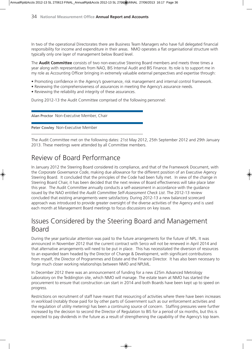In two of the operational Directorates there are Business Team Managers who have full delegated financial responsibility for income and expenditure in their areas. NMO operates a flat organisational structure with typically only one layer of management below Board level.

The **Audit Committee** consists of two non-executive Steering Board members and meets three times a year along with representatives from NAO, BIS Internal Audit and BIS Finance. Its role is to support me in my role as Accounting Officer bringing in extremely valuable external perspectives and expertise through:

- Promoting confidence in the Agency's governance, risk management and internal control framework.
- Reviewing the comprehensiveness of assurances in meeting the Agency's assurance needs.
- Reviewing the reliability and integrity of these assurances.

During 2012-13 the Audit Committee comprised of the following personnel:

Alan Proctor Non-Executive Member, Chair

Peter Cowley Non-Executive Member

The Audit Committee met on the following dates: 21st May 2012, 25th September 2012 and 29th January 2013. These meetings were attended by all Committee members.

### Review of Board Performance

In January 2012 the Steering Board considered its compliance, and that of the Framework Document, with the *Corporate Governance Code*, making due allowance for the different position of an Executive Agency Steering Board. It concluded that the principles of the Code had been fully met. In view of the change in Steering Board Chair, it has been decided that the next review of Board effectiveness will take place later this year. The Audit Committee annually conducts a self-assessment in accordance with the guidance issued by the NAO entitled the *Audit Committee Self-Assessment Check List*. The 2012-13 review concluded that existing arrangements were satisfactory. During 2012-13 a new balanced scorecard approach was introduced to provide greater oversight of the diverse activities of the Agency and is used each month at Management Board meetings to focus discussions on key issues.

### Issues Considered by the Steering Board and Management Board

During the year particular attention was paid to the future arrangements for the future of NPL. It was announced in November 2012 that the current contract with Serco will not be renewed in April 2014 and that alternative arrangements will need to be put in place. This has necessitated the diversion of resources to an expanded team headed by the Director of Change & Development, with significant contributions from myself, the Director of Programmes and Estate and the Finance Director. It has also been necessary to forge much closer working relationships between NMO and NPLML.

In December 2012 there was an announcement of funding for a new £25m Advanced Metrology Laboratory on the Teddington site, which NMO will manage. The estate team at NMO has started the procurement to ensure that construction can start in 2014 and both Boards have been kept up to speed on progress.

Restrictions on recruitment of staff have meant that resourcing of activities where there have been increases in workload (notably those paid for by other parts of Government such as our enforcement activities and the regulation of utility metering) has been a continuing source of concern. Staffing pressures were further increased by the decision to second the Director of Regulation to BIS for a period of six months, but this is expected to pay dividends in the future as a result of strengthening the capability of the Agency's top team.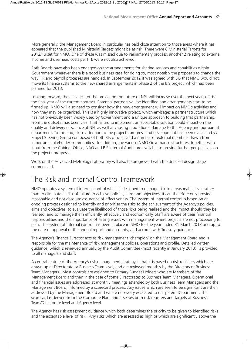More generally, the Management Board in particular has paid close attention to those areas where it has appeared that the published Ministerial Targets might be at risk. There were 8 Ministerial Targets for 2012/13 set for NMO. One of these was missed due to Parliamentary process, another 2 relating to external income and overhead costs per FTE were not also achieved.

Both Boards have also been engaged on the arrangements for sharing services and capabilities within Government wherever there is a good business case for doing so, most notably the proposals to change the way HR and payroll processes are handled. In September 2012 it was agreed with BIS that NMO would not move its finance systems to the new shared arrangements in phase 2 of the BIS project, which had been planned for 2013.

Looking forward, the activities for the project on the future of NPL will increase over the next year as it is the final year of the current contract. Potential partners will be identified and arrangements start to be firmed up. NMO will also need to consider how the new arrangement will impact on NMO's activities and how they may be organised. This is a highly innovative project, which envisages a partner structure which has not previously been widely used by Government and a unique approach to building that partnership. From the outset it has been clear that failure to implement an acceptable solution could impact on the quality and delivery of science at NPL as well at causing reputational damage to the Agency and our parent department. To this end, close attention to the project's progress and development has been overseen by a Project Steering Group composed of both BIS officials and a number of external members drawn from important stakeholder communities. In addition, the various NMO Governance structures, together with input from the Cabinet Office, NAO and BIS Internal Audit, are available to provide further perspectives on the project's progress.

Work on the Advanced Metrology Laboratory will also be progressed with the detailed design stage commenced.

### The Risk and Internal Control Framework

NMO operates a system of internal control which is designed to manage risk to a reasonable level rather than to eliminate all risk of failure to achieve policies, aims and objectives; it can therefore only provide reasonable and not absolute assurance of effectiveness. The system of internal control is based on an ongoing process designed to identify and prioritise the risks to the achievement of the Agency's policies, aims and objectives, to evaluate the likelihood of those risks being realised and the impact should they be realised, and to manage them efficiently, effectively and economically. Staff are aware of their financial responsibilities and the importance of raising issues with management where projects are not proceeding to plan. The system of internal control has been in place in NMO for the year ended 31 March 2013 and up to the date of approval of the annual report and accounts, and accords with Treasury guidance.

The Agency's Finance Director acts as risk management 'champion' on the Management Board and is responsible for the maintenance of risk management policies, operations and profile. Detailed written guidance, which is reviewed annually by the Audit Committee (most recently in January 2013), is provided to all managers and staff.

A central feature of the Agency's risk management strategy is that it is based on risk registers which are drawn up at Directorate or Business Team level, and are reviewed monthly by the Directors or Business Team Managers. Most controls are assigned to Primary Budget Holders who are Members of the Management Board and then in the case of some Directorates to Business Team Managers. Operational and financial issues are addressed at monthly meetings attended by both Business Team Managers and the Management Board, informed by a scorecard process. Any issues which are seen to be significant are then addressed by the Management Board and where necessary escalated to our parent Department. The scorecard is derived from the Corporate Plan, and assesses both risk registers and targets at Business Team/Directorate level and Agency level.

The Agency has risk assessment guidance which both determines the priority to be given to identified risks and the acceptable level of risk. Any risks which are assessed as high or which are significantly above the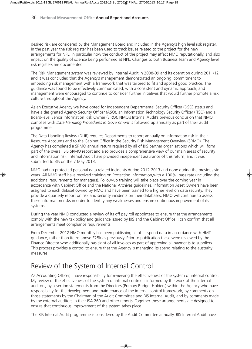desired risk are considered by the Management Board and included in the Agency's high level risk register. In the past year the risk register has been used to track issues related to the project for the new arrangements for NPL, in particular how the conduct of the project may affect NMO reputationally, and also impact on the quality of science being performed at NPL. Changes to both Business Team and Agency level risk registers are documented.

The Risk Management system was reviewed by Internal Audit in 2008-09 and its operation during 2011/12 and it was concluded that the Agency's management demonstrated an ongoing commitment to embedding risk management with a framework that was tailored to fit and applied good practice. The guidance was found to be effectively communicated, with a consistent and dynamic approach, and management were encouraged to continue to consider further initiatives that would further promote a risk culture throughout the Agency.

As an Executive Agency we have opted for Independent Departmental Security Officer (DSO) status and have a designated Agency Security Officer (ASO), an Information Technology Security Officer (ITSO) and a Board-level Senior Information Risk Owner (SIRO). NMO's Internal Audit's previous conclusion that NMO complies with *Data Handling Procedures in Government* is followed up annually as part of their audit programme.

The Data Handling Review (DHR) requires Departments to report annually on information risk in their Resource Accounts and to the Cabinet Office in the Security Risk Management Overview (SRMO). The Agency has completed a SRMO annual return required by all of BIS partner organisations which will form part of the overall BIS SRMO report and also provides a comprehensive view of our main areas of security and information risk. Internal Audit have provided independent assurance of this return, and it was submitted to BIS on the 7 May 2013.

NMO had no protected personal data related incidents during 2012-2013 and none during the previous six years. All NMO staff have received training on Protecting Information,with a 100% pass rate (including the additional requirements for managers). Follow-up training will take place over the coming year in accordance with Cabinet Office and the National Archives guidelines. Information Asset Owners have been assigned to each dataset owned by NMO and have been trained to a higher level on data security. They provide a quarterly report on risk and security incidents on their databases. NMO will continue to assess these information risks in order to identify any weaknesses and ensure continuous improvement of its systems.

During the year NMO conducted a review of its off pay roll appointees to ensure that the arrangements comply with the new tax policy and guidance issued by BIS and the Cabinet Office. I can confirm that all arrangements meet compliance requirements.

From December 2012 NMO monthly has been publishing all of its spend data in accordance with HMT guidance, rather than items above £25k as previously. Prior to publication these were reviewed by the Finance Director who additionally has sight of all invoices as part of approving all payments to suppliers. This process provides a control to ensure that the Agency is managing its spend relating to the austerity measures.

### Review of the System of Internal Control

As Accounting Officer, I have responsibility for reviewing the effectiveness of the system of internal control. My review of the effectiveness of the system of internal control is informed by the work of the internal auditors, by assertion statements from the Directors (Primary Budget Holders) within the Agency who have responsibility for the development and maintenance of the internal control framework, by comments on those statements by the Chairman of the Audit Committee and BIS Internal Audit, and by comments made by the external auditors in their ISA 260 and other reports. Together these arrangements are designed to ensure that continuous improvement of the system takes place.

The BIS Internal Audit programme is considered by the Audit Committee annually. BIS Internal Audit have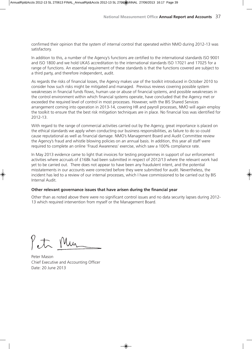confirmed their opinion that the system of internal control that operated within NMO during 2012-13 was satisfactory.

In addition to this, a number of the Agency's functions are certified to the international standards ISO 9001 and ISO 1800 and we hold UKAS accreditation to the international standards ISO 17021 and 17025 for a range of functions. An essential requirement of these standards is that the functions covered are subject to a third party, and therefore independent, audit.

As regards the risks of financial losses, the Agency makes use of the toolkit introduced in October 2010 to consider how such risks might be mitigated and managed. Previous reviews covering possible system weaknesses in financial funds flows, human use or abuse of financial systems, and possible weaknesses in the control environment within which financial systems operate, have concluded that the Agency met or exceeded the required level of control in most processes. However, with the BIS Shared Services arrangement coming into operation in 2013-14, covering HR and payroll processes, NMO will again employ the toolkit to ensure that the best risk mitigation techniques are in place. No financial loss was identified for 2012-13.

With regard to the range of commercial activities carried out by the Agency, great importance is placed on the ethical standards we apply when conducting our business responsibilities, as failure to do so could cause reputational as well as financial damage. NMO's Management Board and Audit Committee review the Agency's fraud and whistle blowing policies on an annual basis. In addition, this year all staff were required to complete an online 'Fraud Awareness' exercise, which saw a 100% compliance rate.

In May 2013 evidence came to light that invoices for testing programmes in support of our enforcement activities where accruals of £168k had been submitted in respect of 2012/13 where the relevant work had yet to be carried out. There does not appear to have been any fraudulent intent, and the potential misstatements in our accounts were corrected before they were submitted for audit. Nevertheless, the incident has led to a review of our internal processes, which I have commissioned to be carried out by BIS Internal Audit.

#### **Other relevant governance issues that have arisen during the financial year**

Other than as noted above there were no significant control issues and no data security lapses during 2012- 13 which required intervention from myself or the Management Board.

Mu

Peter Mason Chief Executive and Accounting Officer Date: 20 June 2013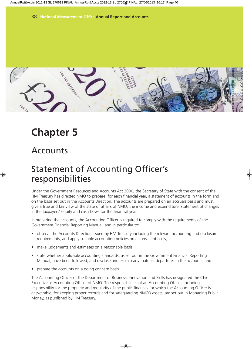![](_page_38_Picture_1.jpeg)

## **Chapter 5**

### Accounts

## Statement of Accounting Officer's responsibilities

Under the Government Resources and Accounts Act 2000, the Secretary of State with the consent of the HM Treasury has directed NMO to prepare, for each financial year, a statement of accounts in the form and on the basis set out in the Accounts Direction. The accounts are prepared on an accruals basis and must give a true and fair view of the state of affairs of NMO, the income and expenditure, statement of changes in the taxpayers' equity and cash flows for the financial year.

In preparing the accounts, the Accounting Officer is required to comply with the requirements of the Government Financial Reporting Manual, and in particular to:

- observe the Accounts Direction issued by HM Treasury including the relevant accounting and disclosure requirements, and apply suitable accounting policies on a consistent basis,
- make judgements and estimates on a reasonable basis,
- state whether applicable accounting standards, as set out in the Government Financial Reporting Manual, have been followed, and disclose and explain any material departures in the accounts, and
- prepare the accounts on a going concern basis.

The Accounting Officer of the Department of Business, Innovation and Skills has designated the Chief Executive as Accounting Officer of NMO. The responsibilities of an Accounting Officer, including responsibility for the propriety and regularity of the public finances for which the Accounting Officer is answerable, for keeping proper records and for safeguarding NMO's assets, are set out in Managing Public Money, as published by HM Treasury.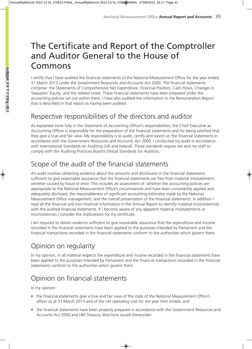## The Certificate and Report of the Comptroller and Auditor General to the House of Commons

I certify that I have audited the financial statements of the National Measurement Office for the year ended 31 March 2013 under the Government Resources and Accounts Act 2000. The financial statements comprise: the Statements of Comprehensive Net Expenditure, Financial Position, Cash Flows, Changes in Taxpayers' Equity; and the related notes. These financial statements have been prepared under the accounting policies set out within them. I have also audited the information in the Remuneration Report that is described in that report as having been audited.

### Respective responsibilities of the directors and auditor

As explained more fully in the Statement of Accounting Officer's responsibilities, the Chief Executive as Accounting Officer is responsible for the preparation of the financial statements and for being satisfied that they give a true and fair view. My responsibility is to audit, certify and report on the financial statements in accordance with the Government Resources and Accounts Act 2000. I conducted my audit in accordance with International Standards on Auditing (UK and Ireland). Those standards require me and my staff to comply with the Auditing Practices Board's Ethical Standards for Auditors.

### Scope of the audit of the financial statements

An audit involves obtaining evidence about the amounts and disclosures in the financial statements sufficient to give reasonable assurance that the financial statements are free from material misstatement, whether caused by fraud or error. This includes an assessment of: whether the accounting policies are appropriate to the National Measurement Office's circumstances and have been consistently applied and adequately disclosed; the reasonableness of significant accounting estimates made by the National Measurement Office management; and the overall presentation of the financial statements. In addition I read all the financial and non-financial information in the Annual Report to identify material inconsistencies with the audited financial statements. If I become aware of any apparent material misstatements or inconsistencies I consider the implications for my certificate.

I am required to obtain evidence sufficient to give reasonable assurance that the expenditure and income recorded in the financial statements have been applied to the purposes intended by Parliament and the financial transactions recorded in the financial statements conform to the authorities which govern them.

### Opinion on regularity

In my opinion, in all material respects the expenditure and income recorded in the financial statements have been applied to the purposes intended by Parliament and the financial transactions recorded in the financial statements conform to the authorities which govern them.

### Opinion on financial statements

In my opinion:

- the financial statements give a true and fair view of the state of the National Measurement Office's affairs as at 31 March 2013 and of the net operating cost for the year then ended; and
- the financial statements have been properly prepared in accordance with the Government Resources and Accounts Act 2000 and HM Treasury directions issued thereunder.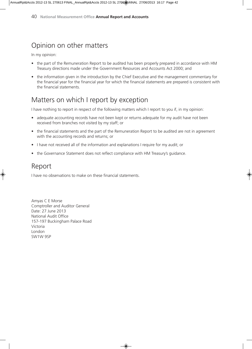### Opinion on other matters

In my opinion:

- the part of the Remuneration Report to be audited has been properly prepared in accordance with HM Treasury directions made under the Government Resources and Accounts Act 2000; and
- the information given in the introduction by the Chief Executive and the management commentary for the financial year for the financial year for which the financial statements are prepared is consistent with the financial statements.

### Matters on which I report by exception

I have nothing to report in respect of the following matters which I report to you if, in my opinion:

- adequate accounting records have not been kept or returns adequate for my audit have not been received from branches not visited by my staff; or
- the financial statements and the part of the Remuneration Report to be audited are not in agreement with the accounting records and returns; or
- I have not received all of the information and explanations I require for my audit; or
- the Governance Statement does not reflect compliance with HM Treasury's guidance.

### Report

I have no observations to make on these financial statements.

Amyas C E Morse Comptroller and Auditor General Date: 27 June 2013 National Audit Office 157-197 Buckingham Palace Road Victoria London SW1W 9SP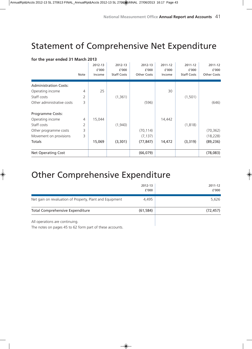## Statement of Comprehensive Net Expenditure

|                              | Note | 2012-13<br>f'000<br>Income | 2012-13<br>f'000<br><b>Staff Costs</b> | 2012-13<br>f′000<br><b>Other Costs</b> | 2011-12<br>£'000<br>Income | 2011-12<br>£'000<br><b>Staff Costs</b> | 2011-12<br>£'000<br><b>Other Costs</b> |
|------------------------------|------|----------------------------|----------------------------------------|----------------------------------------|----------------------------|----------------------------------------|----------------------------------------|
| <b>Administration Costs:</b> |      |                            |                                        |                                        |                            |                                        |                                        |
| Operating income             | 4    | 25                         |                                        |                                        | 30                         |                                        |                                        |
| Staff costs                  | 2    |                            | (1, 361)                               |                                        |                            | (1,501)                                |                                        |
| Other administrative costs   | 3    |                            |                                        | (596)                                  |                            |                                        | (646)                                  |
| Programme Costs:             |      |                            |                                        |                                        |                            |                                        |                                        |
| Operating income             | 4    | 15,044                     |                                        |                                        | 14,442                     |                                        |                                        |
| Staff costs                  | 2    |                            | (1,940)                                |                                        |                            | (1, 818)                               |                                        |
| Other programme costs        | 3    |                            |                                        | (70, 114)                              |                            |                                        | (70, 362)                              |
| Movement on provisions       | 3    |                            |                                        | (7, 137)                               |                            |                                        | (18, 228)                              |
| Totals                       |      | 15,069                     | (3,301)                                | (77, 847)                              | 14,472                     | (3, 319)                               | (89, 236)                              |
| <b>Net Operating Cost</b>    |      |                            |                                        | (66, 079)                              |                            |                                        | (78,083)                               |

#### **for the year ended 31 March 2013**

## Other Comprehensive Expenditure

| <b>Total Comprehensive Expenditure</b>                   | (61, 584)        | (72, 457)        |
|----------------------------------------------------------|------------------|------------------|
| Net gain on revaluation of Property, Plant and Equipment | 4,495            | 5,626            |
|                                                          | 2012-13<br>f'000 | 2011-12<br>f'000 |

All operations are continuing.

The notes on pages 45 to 62 form part of these accounts.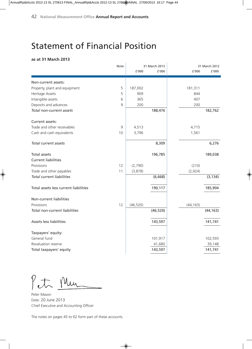## Statement of Financial Position

#### **as at 31 March 2013**

|                                       | Note |           | 31 March 2013 |           | 31 March 2012 |
|---------------------------------------|------|-----------|---------------|-----------|---------------|
|                                       |      | £'000     | £'000         | £'000     | £'000         |
| Non-current assets:                   |      |           |               |           |               |
| Property, plant and equipment         | 5    | 187,002   |               | 181,311   |               |
| Heritage Assets                       | 5    | 909       |               | 844       |               |
| Intangible assets                     | 6    | 365       |               | 407       |               |
| Deposits and advances                 | 9    | 200       |               | 200       |               |
| Total non-current assets              |      |           | 188,476       |           | 182,762       |
| Current assets:                       |      |           |               |           |               |
| Trade and other receivables           | 9    | 4,513     |               | 4,715     |               |
| Cash and cash equivalents             | 10   | 3,796     |               | 1,561     |               |
| Total current assets                  |      |           | 8,309         |           | 6,276         |
| <b>Total assets</b>                   |      |           | 196,785       |           | 189,038       |
| <b>Current liabilities</b>            |      |           |               |           |               |
| Provisions                            | 12   | (2,790)   |               | (210)     |               |
| Trade and other payables              | 11   | (3,878)   |               | (2,924)   |               |
| <b>Total current liabilities</b>      |      |           | (6,668)       |           | (3, 134)      |
| Total assets less current liabilities |      |           | 190,117       |           | 185,904       |
| Non-current liabilities               |      |           |               |           |               |
| Provisions                            | 12   | (46, 520) |               | (44, 163) |               |
| Total non-current liabilities         |      |           | (46, 520)     |           | (44, 163)     |
| Assets less liabilities               |      |           | 143,597       |           | 141,741       |
| Taxpayers' equity:                    |      |           |               |           |               |
| General fund                          |      |           | 101,917       |           | 102,593       |
| Revaluation reserve                   |      |           | 41,680        |           | 39,148        |
| Total taxpayers' equity               |      |           | 143,597       |           | 141,741       |

Petr Mur

Peter Mason Date: 20 June 2013 Chief Executive and Accounting Officer

The notes on pages 45 to 62 form part of these accounts.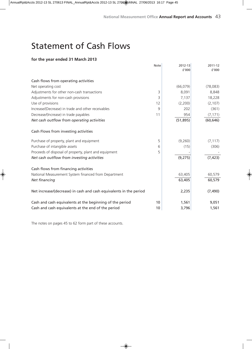## Statement of Cash Flows

#### **for the year ended 31 March 2013**

|                                                                    | Note | 2012-13   | 2011-12   |
|--------------------------------------------------------------------|------|-----------|-----------|
|                                                                    |      | £'000     | £'000     |
|                                                                    |      |           |           |
| Cash flows from operating activities                               |      |           |           |
| Net operating cost                                                 |      | (66, 079) | (78,083)  |
| Adjustments for other non-cash transactions                        | 3    | 8,091     | 8,848     |
| Adjustments for non-cash provisions                                | 3    | 7,137     | 18,228    |
| Use of provisions                                                  | 12   | (2,200)   | (2, 107)  |
| Increase/(Decrease) in trade and other receivables                 | 9    | 202       | (361)     |
| Decrease/(Increase) in trade payables                              | 11   | 954       | (7, 171)  |
| Net cash outflow from operating activities                         |      | (51, 895) | (60, 646) |
| Cash Flows from investing activities                               |      |           |           |
| Purchase of property, plant and equipment                          | 5    | (9,260)   | (7, 117)  |
| Purchase of intangible assets                                      | 6    | (15)      | (306)     |
| Proceeds of disposal of property, plant and equipment              | 5    |           |           |
| Net cash outflow from investing activities                         |      | (9,275)   | (7, 423)  |
| Cash flows from financing activities                               |      |           |           |
| National Measurement System financed from Department               |      | 63,405    | 60,579    |
| Net financing                                                      |      | 63,405    | 60,579    |
| Net increase/(decrease) in cash and cash equivalents in the period |      | 2,235     | (7, 490)  |
| Cash and cash equivalents at the beginning of the period           | 10   | 1,561     | 9,051     |
| Cash and cash equivalents at the end of the period                 | 10   | 3,796     | 1,561     |

The notes on pages 45 to 62 form part of these accounts.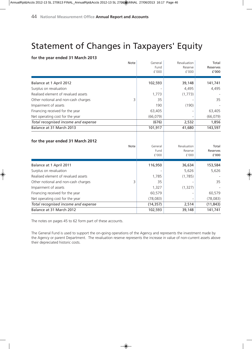## Statement of Changes in Taxpayers' Equity

#### **for the year ended 31 March 2013**

|   | General                         | Revaluation                                                            | Total                                                      |
|---|---------------------------------|------------------------------------------------------------------------|------------------------------------------------------------|
|   | Fund                            | Reserve                                                                | Reserves                                                   |
|   | £'000                           | £'000                                                                  | £'000                                                      |
|   |                                 |                                                                        |                                                            |
|   | 102,593                         | 39,148                                                                 | 141,741                                                    |
|   |                                 | 4,495                                                                  | 4,495                                                      |
|   | 1,773                           | (1,773)                                                                |                                                            |
| 3 | 35                              |                                                                        | 35                                                         |
|   | 190                             | (190)                                                                  |                                                            |
|   | 63,405                          |                                                                        | 63,405                                                     |
|   | (66,079)                        |                                                                        | (66,079)                                                   |
|   | (676)                           | 2,532                                                                  | 1,856                                                      |
|   | 101,917                         | 41,680                                                                 | 143,597                                                    |
|   |                                 |                                                                        |                                                            |
|   |                                 |                                                                        |                                                            |
|   | General                         | Revaluation                                                            | Total                                                      |
|   |                                 |                                                                        | <b>Reserves</b>                                            |
|   |                                 |                                                                        | £'000                                                      |
|   |                                 |                                                                        | 153,584                                                    |
|   |                                 |                                                                        | 5,626                                                      |
|   |                                 |                                                                        |                                                            |
|   |                                 |                                                                        | 35                                                         |
|   |                                 |                                                                        |                                                            |
|   |                                 |                                                                        |                                                            |
|   |                                 |                                                                        | 60,579                                                     |
|   |                                 |                                                                        | (78,083)                                                   |
|   | (14, 357)                       | 2,514                                                                  | (11, 843)                                                  |
|   | 102,593                         | 39,148                                                                 | 141,741                                                    |
|   | <b>Note</b><br><b>Note</b><br>3 | Fund<br>£'000<br>116,950<br>1,785<br>35<br>1,327<br>60,579<br>(78,083) | Reserve<br>£'000<br>36,634<br>5,626<br>(1,785)<br>(1, 327) |

The notes on pages 45 to 62 form part of these accounts.

The General Fund is used to support the on-going operations of the Agency and represents the investment made by the Agency or parent Department. The revaluation reserve represents the increase in value of non-current assets above their depreciated historic costs.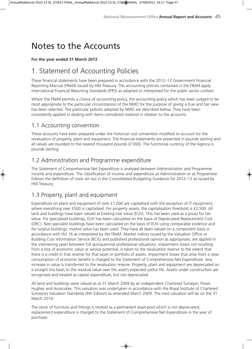## Notes to the Accounts

#### **For the year ended 31 March 2013**

### 1. Statement of Accounting Policies

These financial statements have been prepared in accordance with the 2012–13 Government Financial Reporting Manual (FReM) issued by HM Treasury. The accounting policies contained in the FReM apply International Financial Reporting Standards (IFRS) as adapted or interpreted for the public sector context.

Where the FReM permits a choice of accounting policy, the accounting policy which has been judged to be most appropriate to the particular circumstances of the NMO for the purpose of giving a true and fair view has been selected. The particular policies adopted by NMO are described below. They have been consistently applied in dealing with items considered material in relation to the accounts.

### 1.1 Accounting convention

These accounts have been prepared under the historical cost convention modified to account for the revaluation of property, plant and equipment. The financial statements are presented in pounds sterling and all values are rounded to the nearest thousand pounds (£'000). The functional currency of the Agency is pounds sterling.

### 1.2 Administration and Programme expenditure

The Statement of Comprehensive Net Expenditure is analysed between Administration and Programme income and expenditure. The classification of income and expenditure as Administration or as Programme follows the definition of costs set out in the Consolidated Budgeting Guidance for 2012–13 as issued by HM Treasury.

### 1.3 Property, plant and equipment

Expenditure on plant and equipment of over £1,000 are capitalised with the exception of IT equipment, where everything over £500 is capitalised. For property assets, the capitalisation threshold is £2,500. All land and buildings have been valued at Existing Use Value (EUV). This has been used as a proxy for fair value. For specialised buildings, EUV has been calculated on the basis of Depreciated Replacement Cost (DRC). Non-specialist buildings have been calculated on the basis of EUV using comparable evidence and for surplus buildings, market value has been used. They have all been valued on a component basis in accordance with IAS 16 as interpreted by the FReM. Market indices issued by the Valuation Office or Building Cost Information Service (BCIS) and published professional opinion as appropriate, are applied in the intervening years between full quinquennial professional valuations. Impairment losses not resulting from a loss of economic value or service potential, is taken to the revaluation reserve to the extent that there is a credit in that reserve for that asset or portfolio of assets. Impairment losses that arise from a clear consumption of economic benefit is charged to the Statement of Comprehensive Net Expenditure. Any increase in value is transferred to the revaluation reserve. Property, plant and equipment are depreciated on a straight line basis to the residual value over the asset's expected useful life. Assets under construction are recognised and treated as capital expenditure, but not depreciated.

All land and buildings were valued as at 31 March 2009 by an independent Chartered Surveyor, Powis Hughes and Associates. This valuation was undertaken in accordance with the Royal Institute of Chartered Surveyors Valuation Standards (6th Edition) as amended March 2009. The next valuation will be on the 31 March 2014.

The stock of furniture and fittings is treated as a permanent asset pool which is not depreciated; replacement expenditure is charged to the Statement of Comprehensive Net Expenditure in the year of purchase.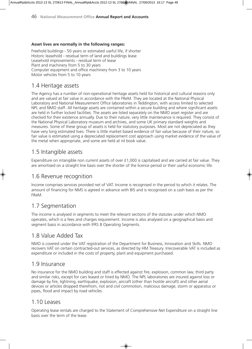#### **Asset lives are normally in the following ranges:**

Freehold buildings - 50 years or estimated useful life, if shorter Historic leasehold - residual term of land and buildings lease Leasehold improvements - residual term of lease Plant and machinery from 5 to 30 years Computer equipment and office machinery from 3 to 10 years Motor vehicles from 5 to 10 years

### 1.4 Heritage assets

The Agency has a number of non-operational heritage assets held for historical and cultural reasons only and are valued at fair value in accordance with the FReM. They are located at the National Physical Laboratory and National Measurement Office laboratories in Teddington, with access limited to selected NPL and NMO staff. All heritage assets are contained within a secure building and where significant assets are held in further locked facilities. The assets are listed separately on the NMO asset register and are checked for their existence annually. Due to their nature, very little maintenance is required. They consist of the National Physical Laboratory museum and archives, and some UK primary standard weights and measures. Some of these group of assets is held for statutory purposes. Most are not depreciated as they have very long estimated lives. There is little market based evidence of fair value because of their nature, so fair value is estimated using a depreciated replacement cost approach using market evidence of the value of the metal when appropriate, and some are held at nil book value.

### 1.5 Intangible assets

Expenditure on intangible non current assets of over £1,000 is capitalised and are carried at fair value. They are amortised on a straight line basis over the shorter of the licence period or their useful economic life.

#### 1.6 Revenue recognition

Income comprises services provided net of VAT. Income is recognised in the period to which it relates. The amount of financing for NMS is agreed in advance with BIS and is recognised on a cash basis as per the FReM.

### 1.7 Segmentation

The income is analysed in segments to meet the relevant sections of the statutes under which NMO operates, which is a fees and charges requirement. Income is also analysed on a geographical basis and segment basis in accordance with IFRS 8 Operating Segments.

### 1.8 Value Added Tax

NMO is covered under the VAT registration of the Department for Business, Innovation and Skills. NMO recovers VAT on certain contracted-out services, as directed by HM Treasury. Irrecoverable VAT is included as expenditure or included in the costs of property, plant and equipment purchased.

#### 1.9 Insurance

No insurance for the NMO building and staff is effected against fire, explosion, common law, third party and similar risks, except for cars leased or hired by NMO. The NPL laboratories are insured against loss or damage by fire, lightning, earthquake, explosion, aircraft (other than hostile aircraft) and other aerial devices or articles dropped therefrom, riot and civil commotion, malicious damage, storm or apparatus or pipes, flood and impact by road vehicles.

#### 1.10 Leases

Operating lease rentals are charged to the Statement of Comprehensive Net Expenditure on a straight line basis over the term of the lease.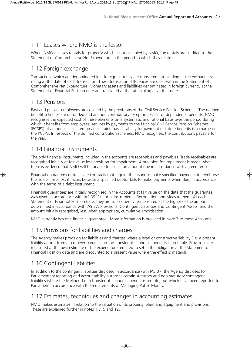### 1.11 Leases where NMO is the lessor

Where NMO receives rentals for property which is not occupied by NMO, the rentals are credited to the Statement of Comprehensive Net Expenditure in the period to which they relate.

### 1.12 Foreign exchange

Transactions which are denominated in a foreign currency are translated into sterling at the exchange rate ruling at the date of each transaction. These translation differences are dealt with in the Statement of Comprehensive Net Expenditure. Monetary assets and liabilities denominated in foreign currency at the Statement of Financial Position date are translated at the rates ruling as at that date.

#### 1.13 Pensions

Past and present employees are covered by the provisions of the Civil Service Pension Schemes. The defined benefit schemes are unfunded and are non contributory except in respect of dependents' benefits. NMO recognises the expected cost of these elements on a systematic and rational basis over the period during which it benefits from employees' services by payments to the Principal Civil Service Pension Schemes (PCSPS) of amounts calculated on an accruing basis. Liability for payment of future benefits is a charge on the PCSPS. In respect of the defined contribution schemes, NMO recognises the contributions payable for the year.

### 1.14 Financial instruments

The only financial instruments included in the accounts are receivables and payables. Trade receivables are recognised initially at fair value less provision for impairment. A provision for impairment is made when there is evidence that NMO will be unable to collect an amount due in accordance with agreed terms.

Financial guarantee contracts are contracts that require the issuer to make specified payments to reimburse the holder for a loss it incurs because a specified debtor fails to make payments when due, in accordance with the terms of a debt instrument.

Financial guarantees are initially recognised in the Accounts at fair value on the date that the guarantee was given in accordance with IAS 39: Financial Instruments: Recognition and Measurement. At each Statement of Financial Position date, they are subsequently re-measured at the higher of the amount determined in accordance with IAS 37: Provisions, Contingent Liabilities and Contingent Assets, and the amount initially recognised, less when appropriate, cumulative amortisation.

NMO currently has one financial guarantee. More information is provided in Note 7 to these Accounts.

### 1.15 Provisions for liabilities and charges

The Agency makes provision for liabilities and charges where a legal or constructive liability (i.e. a present liability arising from a past event) exists and the transfer of economic benefits is probable. Provisions are measured at the best estimate of the expenditure required to settle the obligation at the Statement of Financial Position date and are discounted to a present value where the effect is material.

### 1.16 Contingent liabilities

In addition to the contingent liabilities disclosed in accordance with IAS 37, the Agency discloses for Parliamentary reporting and accountability purposes certain statutory and non-statutory contingent liabilities where the likelihood of a transfer of economic benefit is remote, but which have been reported to Parliament in accordance with the requirements of Managing Public Money.

### 1.17 Estimates, techniques and changes in accounting estimates

NMO makes estimates in relation to the valuation of its property, plant and equipment and provisions. These are explained further in notes 1.3, 5 and 12.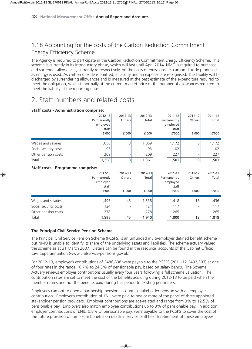### 1.18 Accounting for the costs of the Carbon Reduction Commitment Energy Efficiency Scheme

The Agency is required to participate in the Carbon Reduction Commitment Energy Efficiency Scheme. This scheme is currently in its introductory phase, which will last until April 2014. NMO is required to purchase and surrender allowances, currently retrospectively, on the basis of emissions i.e. carbon dioxide produced as energy is used. As carbon dioxide is emitted, a liability and an expense are recognised. The liability will be discharged by surrendering allowances and is measured at the best estimate of the expenditure required to meet the obligation, which is normally at the current market price of the number of allowances required to meet the liability at the reporting date.

### 2. Staff numbers and related costs

|                                          | 2012-13<br>Permanently<br>employed<br>staff<br>£'000 | 2012-13<br>Others<br>f'000 | 2012-13<br>Total<br>£'000 | 2011-12<br>Permanently<br>employed<br>staff<br>f'000 | 2011-12<br>Others<br>£'000 | 2011-12<br>Total<br>£'000 |
|------------------------------------------|------------------------------------------------------|----------------------------|---------------------------|------------------------------------------------------|----------------------------|---------------------------|
| Wages and salaries                       | 1,056                                                | 3                          | 1,059                     | 1,172                                                | 0                          | 1,172                     |
| Social security costs                    | 93                                                   |                            | 93                        | 102                                                  |                            | 102                       |
| Other pension costs                      | 209                                                  |                            | 209                       | 227                                                  |                            | 227                       |
| Total                                    | 1,358                                                | 3                          | 1,361                     | 1,501                                                | 0                          | 1,501                     |
| <b>Staff costs - Programme comprise:</b> |                                                      |                            |                           |                                                      |                            |                           |
|                                          | 2012-13                                              | 2012-13                    | $2012 - 13$               | 2011-12                                              | $2011 - 12$                | 2011-12                   |
|                                          | Permanently                                          | Others                     | Total                     | Permanently                                          | Others                     | Total                     |
|                                          | employed                                             |                            |                           | employed                                             |                            |                           |
|                                          | staff<br>f'000                                       | f'000                      | £'000                     | staff<br>f'000                                       | £'000                      | £'000                     |
| Wages and salaries                       | 1,493                                                | 45                         | 1,538                     | 1,418                                                | 18                         | 1,436                     |
| Social security costs                    | 124                                                  |                            | 124                       | 117                                                  |                            | 117                       |
| Other pension costs                      | 278                                                  |                            | 278                       | 265                                                  |                            | 265                       |
| Total                                    | 1,895                                                | 45                         | 1,940                     | 1,800                                                | 18                         | 1,818                     |

#### **Staff costs - Administration comprise:**

#### **The Principal Civil Service Pension Scheme**

The Principal Civil Service Pension Scheme (PCSPS) is an unfunded multi-employer defined benefit scheme but NMO is unable to identify its share of the underlying assets and liabilities. The scheme actuary valued the scheme as at 31 March 2007. Details can be found in the resource accounts of the Cabinet Office: Civil Superannuation (www.civilservice-pensions.gov.uk).

For 2012-13, employer's contributions of £486,898 were payable to the PCSPS (2011-12 £492,393) at one of four rates in the range 16.7% to 24.3% of pensionable pay, based on salary bands. The Scheme Actuary reviews employer contributions usually every four years following a full scheme valuation. The contribution rates are set to meet the cost of the benefits accruing during 2012-13 to be paid when the member retires and not the benefits paid during this period to existing pensioners.

Employees can opt to open a partnership pension account, a stakeholder pension with an employer contribution. Employer's contribution of £NIL were paid to one or more of the panel of three appointed stakeholder pension providers. Employer contributions are age-related and range from 3% to 12.5% of pensionable pay. Employers also match employee contributions up to 3% of pensionable pay. In addition, employer contributions of £NIL, 0.8% of pensionable pay, were payable to the PCSPS to cover the cost of the future provision of lump sum benefits on death in service or ill health retirement of these employees.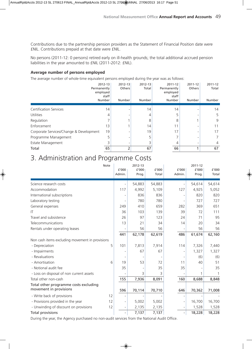Contributions due to the partnership pension providers as the Statement of Financial Position date were £NIL. Contributions prepaid at that date were £NIL.

No persons (2011-12: 0 persons) retired early on ill-health grounds; the total additional accrued pension liabilities in the year amounted to £NIL (2011-2012: £NIL).

#### **Average number of persons employed**

The average number of whole-time equivalent persons employed during the year was as follows:

| Permanently<br>employed                 | 2012-13<br>staff<br>Number | 2012-13<br>Others<br>Number | 2012-13<br>Total<br>Number | 2011-12<br>Permanently<br>employed<br>staff<br>Number | $2011 - 12$<br>Others<br>Number | 2011-12<br>Total<br>Number |
|-----------------------------------------|----------------------------|-----------------------------|----------------------------|-------------------------------------------------------|---------------------------------|----------------------------|
|                                         |                            |                             |                            |                                                       |                                 |                            |
| <b>Certification Services</b>           | 14                         |                             | 14                         | 14                                                    |                                 | 14                         |
| <b>Utilities</b>                        |                            |                             |                            | 5                                                     |                                 | 5                          |
| Regulation                              |                            |                             | 8                          | 8                                                     |                                 | 9                          |
| Enforcement                             | 13                         |                             | 14                         | 11                                                    |                                 | 11                         |
| Corporate Services/Change & Development | 19                         |                             | 19                         | 17                                                    |                                 | 17                         |
| Programme Management                    | 5                          |                             |                            |                                                       |                                 |                            |
| Estate Management                       |                            |                             |                            | 4                                                     |                                 | 4                          |
| Total                                   | 65                         |                             | 67                         | 66                                                    |                                 | 67                         |

### 3. Administration and Programme Costs

|                                                 | Note | f'000<br>Admin.          | 2012-13<br>£'000<br>Prog. | £'000<br>Total | f'000<br>Admin.              | 2011-12<br>$\texttt{f}'000$<br>Prog. | £'000<br>Total |
|-------------------------------------------------|------|--------------------------|---------------------------|----------------|------------------------------|--------------------------------------|----------------|
| Science research costs                          |      |                          | 54,883                    | 54,883         | $\qquad \qquad \blacksquare$ | 54,614                               | 54,614         |
| Accommodation                                   |      | 117                      | 4,992                     | 5,109          | 127                          | 4,925                                | 5,052          |
| International subscriptions                     |      |                          | 836                       | 836            | $\overline{a}$               | 820                                  | 820            |
| Laboratory testing                              |      |                          | 780                       | 780            |                              | 727                                  | 727            |
| General expenses                                |      | 249                      | 410                       | 659            | 282                          | 369                                  | 651            |
| IT                                              |      | 36                       | 103                       | 139            | 39                           | 72                                   | 111            |
| Travel and subsistence                          |      | 26                       | 97                        | 123            | 24                           | 71                                   | 95             |
| Telecommunications                              |      | 13                       | 21                        | 34             | 14                           | 20                                   | 34             |
| Rentals under operating leases                  |      |                          | 56                        | 56             |                              | 56                                   | 56             |
|                                                 |      | 441                      | 62,178                    | 62,619         | 486                          | 61,674                               | 62,160         |
| Non cash items excluding movement in provisions |      |                          |                           |                |                              |                                      |                |
| - Depreciation                                  | 5    | 101                      | 7,813                     | 7,914          | 114                          | 7,326                                | 7,440          |
| - Impairments                                   |      |                          | 67                        | 67             | $\overline{a}$               | 1,327                                | 1,327          |
| - Revaluations                                  |      |                          |                           |                |                              | (6)                                  | (6)            |
| - Amortisation                                  | 6    | 19                       | 53                        | 72             | 11                           | 40                                   | 51             |
| - Notional audit fee                            |      | 35                       |                           | 35             | 35                           |                                      | 35             |
| - Loss on disposal of non current assets        |      |                          | 3                         | 3              |                              | 1                                    |                |
| Total other non-cash                            |      | 155                      | 7,936                     | 8,091          | 160                          | 8,688                                | 8,848          |
| Total other programme costs excluding           |      |                          |                           |                |                              |                                      |                |
| movement in provisions                          |      | 596                      | 70,114                    | 70,710         | 646                          | 70,362                               | 71,008         |
| - Write back of provisions                      | 12   |                          |                           |                |                              |                                      |                |
| - Provisions provided in the year               | 12   |                          | 5,002                     | 5,002          | $\overline{\phantom{0}}$     | 16,700                               | 16,700         |
| - Unwinding of discount on provisions           | 12   | ÷                        | 2,135                     | 2,135          | $\overline{\phantom{a}}$     | 1,528                                | 1,528          |
| <b>Total provisions</b>                         |      | $\overline{\phantom{0}}$ | 7,137                     | 7,137          | $\blacksquare$               | 18,228                               | 18,228         |

During the year, the Agency purchased no non-audit services from the National Audit Office.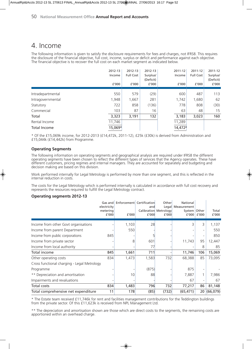### 4. Income

The following information is given to satisfy the disclosure requirements for fees and charges, not IFRS8. This requires the disclosure of the financial objective, full cost, income, surplus or deficit and performance against each objective. The financial objective is to recover the full cost on each market segment as indicated below.

|                   | 2012-13<br>Income<br>£'000 | 2012-13<br><b>Full Cost</b><br>£'000 | 2012-13<br>Surplus/<br>(Deficit)<br>£'000 | 2011-12<br>Income<br>f'000 | 2011-12<br><b>Full Cost</b><br>f′000 | 2011-12<br>Surplus/<br>(Deficit)<br>£'000 |
|-------------------|----------------------------|--------------------------------------|-------------------------------------------|----------------------------|--------------------------------------|-------------------------------------------|
| Intradepartmental | 550                        | 579                                  | (29)                                      | 600                        | 487                                  | 113                                       |
| Intragovernmental | 1,948                      | 1,667                                | 281                                       | 1,742                      | 1,680                                | 62                                        |
| Statutory         | 722                        | 858                                  | (136)                                     | 778                        | 808                                  | (30)                                      |
| Commercial        | 103                        | 87                                   | 16                                        | 63                         | 48                                   | 15                                        |
| Total             | 3,323                      | 3,191                                | 132                                       | 3,183                      | 3,023                                | 160                                       |
| Rental Income     | 11,746                     |                                      |                                           | 11,289                     |                                      |                                           |
| Total Income      | 15,069*                    |                                      |                                           | 14,472*                    |                                      |                                           |

\* Of the £15,069k income, for 2012-2013 (£14,472k, 2011-12), £25k (£30k) is derived from Administration and £15,044k ( $£14,442k$ ) from Programme.

#### **Operating Segments**

The following information on operating segments and geographical analysis are required under IFRS8 the different operating segments have been chosen to reflect the different types of services that the Agency operates. These have different customers, pricing regimes and internal managers. They are accounted for separately and budgeting and decision making are based on this division.

Work performed internally for Legal Metrology is performed by more than one segment, and this is reflected in the internal reduction in costs.

The costs for the Legal Metrology which is performed internally is calculated in accordance with full cost recovery and represents the resources required to fulfill the Legal Metrology contract.

#### **Operating segments 2012-13**

|                                             | Gas and<br>electricity<br>metering<br>f'000 | Enforcement Certification<br>£'000 | and<br>f'000 | Other<br>Legal<br>Calibration Metrology<br>f'000 | National<br>Measurement<br>System Other<br>f'000 | f'000 | Total<br>£'000 |
|---------------------------------------------|---------------------------------------------|------------------------------------|--------------|--------------------------------------------------|--------------------------------------------------|-------|----------------|
| Income from other Govt organisations        |                                             | 1,103                              | 28           |                                                  |                                                  | 3     | 1,137          |
| Income from parent Department               |                                             | 550                                |              |                                                  |                                                  |       | 550            |
| Income from public corporations             | 845                                         |                                    |              |                                                  |                                                  |       | 850            |
| Income from private sector                  |                                             | 8                                  | 601          |                                                  | 11,743                                           | 95    | 12,447         |
| Income from local authority                 |                                             |                                    | 77           |                                                  |                                                  | 8     | 85             |
| Total income                                | 845                                         | 1,661                              | 711          |                                                  | 11,746                                           | 106   | 15,069         |
| Other operating costs                       | 834                                         | 1,473                              | 1,583        | 732                                              | 68,388                                           | 85    | 73,095         |
| Cross functional charging - Legal Metrology |                                             |                                    |              |                                                  |                                                  |       |                |
| Programme                                   |                                             |                                    | (875)        |                                                  | 875                                              |       |                |
| ** Depreciation and amortisation            |                                             | 10                                 | 88           |                                                  | 7,887                                            |       | 7,986          |
| Impairments and revaluations                |                                             |                                    |              |                                                  | 67                                               |       | 67             |
| Total costs                                 | 834                                         | 1,483                              | 796          | 732                                              | 77,217                                           | 86    | 81,148         |
| Total comprehensive net expenditure         | 11                                          | 178                                | (85)         | (732)                                            | (65, 471)                                        |       | 20(66,079)     |

\* The Estate team received £11,746k for rent and facilities management contributions for the Teddington buildings from the private sector. Of this £11,623k is received from NPL Management Ltd.

\*\* The depreciation and amortisation shown are those which are direct costs to the segments, the remaining costs are apportioned within an overhead charge.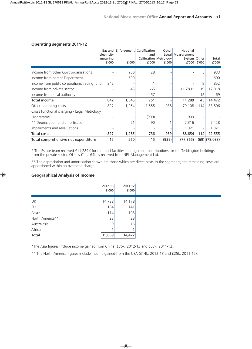|                                              | Gas and<br>electricity<br>metering<br>f'000 | Enforcement Certification<br>f'000 | and<br>Calibration Metrology<br>f'000 | Other<br>Legal<br>f'000 | National<br>Measurement<br>System Other<br>£'000 | f'000 | Total<br>f'000  |
|----------------------------------------------|---------------------------------------------|------------------------------------|---------------------------------------|-------------------------|--------------------------------------------------|-------|-----------------|
|                                              |                                             |                                    |                                       |                         |                                                  |       |                 |
| Income from other Govt organisations         |                                             | 900                                | 28                                    |                         |                                                  | 5     | 933             |
| Income from parent Department                |                                             | 600                                |                                       |                         |                                                  |       | 600             |
| Income from public corporations/trading fund | 842                                         |                                    |                                       |                         |                                                  | 9     | 852             |
| Income from private sector                   |                                             | 45                                 | 665                                   |                         | 11,289*                                          | 19    | 12,018          |
| Income from local authority                  |                                             |                                    | 57                                    |                         |                                                  | 12    | 69              |
| Total income                                 | 842                                         | 1,545                              | 751                                   |                         | 11,289                                           | 45    | 14,472          |
| Other operating costs                        | 827                                         | 1,264                              | 1,555                                 | 938                     | 79,108                                           | 114   | 83,806          |
| Cross functional charging - Legal Metrology  |                                             |                                    |                                       |                         |                                                  |       |                 |
| Programme                                    |                                             |                                    | (909)                                 |                         | 909                                              |       |                 |
| ** Depreciation and amortisation             |                                             | 21                                 | 90                                    |                         | 7,316                                            |       | 7,428           |
| Impairments and revaluations                 |                                             |                                    |                                       |                         | 1,321                                            | -     | 1,321           |
| Total costs                                  | 827                                         | 1,285                              | 736                                   | 939                     | 88,654                                           | 114   | 92,555          |
| Total comprehensive net expenditure          | 15                                          | 260                                | 15                                    | (939)                   | (77, 365)                                        |       | $(69)$ (78,083) |

#### **Operating segments 2011-12**

\* The Estate team received £11,289K for rent and facilities management contributions for the Teddington buildings from the private sector. Of this £11,164K is received from NPL Management Ltd.

\*\* The depreciation and amortisation shown are those which are direct costs to the segments; the remaining costs are apportioned within an overhead charge.

#### **Geographical Analysis of Income**

|                 | $2012 - 13$<br>f'000    | 2011-12<br>f'000 |
|-----------------|-------------------------|------------------|
| UK              | 14,738                  | 14,178           |
| EU              | 184                     | 141              |
| Asia*           | 114                     | 108              |
| North America** | 23                      | 28               |
| Australasia     | 9                       | 16               |
| Africa          | $\overline{\mathbf{A}}$ |                  |
| Total           | 15,069                  | 14,472           |

\*The Asia figures include income gained from China (£36k, 2012-13 and £53k, 2011-12).

\*\* The North America figures include income gained from the USA (£14k, 2012-13 and £25k, 2011-12).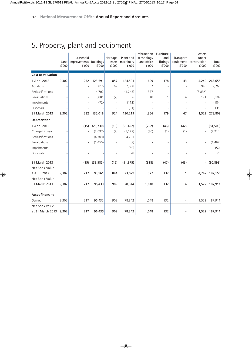### 5. Property, plant and equipment

|                          | Land<br>£'000 | Leasehold<br>improvements<br>£'000 | <b>Buildings</b><br>£'000 | Heritage<br>assets<br>£'000 | Plant and<br>machinery<br>£'000 | Information<br>technology<br>and office<br>£'000 | Furniture<br>and<br>fittings<br>£'000 | Transport<br>equipment<br>£'000 | Assets<br>under<br>construction<br>£'000 | Total<br>£'000 |
|--------------------------|---------------|------------------------------------|---------------------------|-----------------------------|---------------------------------|--------------------------------------------------|---------------------------------------|---------------------------------|------------------------------------------|----------------|
| <b>Cost or valuation</b> |               |                                    |                           |                             |                                 |                                                  |                                       |                                 |                                          |                |
| 1 April 2012             | 9,302         | 232                                | 123,691                   | 857                         | 124,501                         | 609                                              | 178                                   | 43                              | 4,242                                    | 263,655        |
| Additions                |               |                                    | 816                       | 69                          | 7,068                           | 362                                              |                                       |                                 | 945                                      | 9,260          |
| Reclassifications        |               |                                    | 4,702                     |                             | (1, 243)                        | 377                                              |                                       |                                 | (3,836)                                  |                |
| Revaluations             |               |                                    | 5,881                     | (2)                         | 36                              | 18                                               | 1                                     | 4                               | 171                                      | 6,109          |
| Impairments              |               |                                    | (72)                      |                             | (112)                           |                                                  |                                       |                                 |                                          | (184)          |
| Disposals                |               |                                    |                           |                             | (31)                            |                                                  |                                       |                                 |                                          | (31)           |
| 31 March 2013            | 9,302         | 232                                | 135,018                   | 924                         | 130,219                         | 1,366                                            | 179                                   | 47                              | 1,522                                    | 278,809        |
| <b>Depreciation</b>      |               |                                    |                           |                             |                                 |                                                  |                                       |                                 |                                          |                |
| 1 April 2012             |               | (15)                               | (29, 730)                 | (13)                        | (51, 422)                       | (232)                                            | (46)                                  | (42)                            |                                          | (81, 500)      |
| Charged in year          |               |                                    | (2,697)                   | (2)                         | (5, 127)                        | (86)                                             | (1)                                   | (1)                             |                                          | (7, 914)       |
| Reclassifications        |               |                                    | (4,703)                   |                             | 4,703                           |                                                  |                                       |                                 |                                          |                |
| Revaluations             |               |                                    | (1, 455)                  |                             | (7)                             |                                                  | ٠                                     |                                 |                                          | (1, 462)       |
| Impairments              |               |                                    |                           |                             | (50)                            |                                                  |                                       |                                 |                                          | (50)           |
| Disposals                |               |                                    |                           |                             | 28                              |                                                  |                                       |                                 |                                          | 28             |
| 31 March 2013            |               | (15)                               | (38, 585)                 | (15)                        | (51, 875)                       | (318)                                            | (47)                                  | (43)                            |                                          | (90, 898)      |
| Net Book Value           |               |                                    |                           |                             |                                 |                                                  |                                       |                                 |                                          |                |
| 1 April 2012             | 9,302         | 217                                | 93,961                    | 844                         | 73,079                          | 377                                              | 132                                   | 1                               | 4,242                                    | 182,155        |
| Net Book Value           |               |                                    |                           |                             |                                 |                                                  |                                       |                                 |                                          |                |
| 31 March 2013            | 9,302         | 217                                | 96,433                    | 909                         | 78,344                          | 1,048                                            | 132                                   | 4                               | 1,522                                    | 187,911        |
| <b>Asset financing</b>   |               |                                    |                           |                             |                                 |                                                  |                                       |                                 |                                          |                |
| Owned                    | 9,302         | 217                                | 96,435                    | 909                         | 78,342                          | 1,048                                            | 132                                   | 4                               | 1,522                                    | 187,911        |
| Net book value           |               |                                    |                           |                             |                                 |                                                  |                                       |                                 |                                          |                |
| at 31 March 2013 9,302   |               | 217                                | 96,435                    | 909                         | 78,342                          | 1,048                                            | 132                                   | 4                               | 1,522                                    | 187,911        |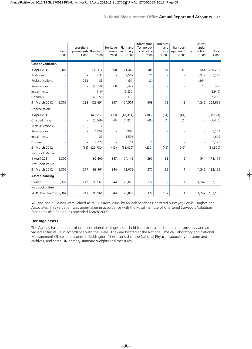|                          | Land<br>£'000 | Leasehold<br>improvements Buildings<br>£'000 | £'000     | Heritage<br>assets<br>£'000 | Plant and<br>machinery<br>£'000 | Information<br>Technology<br>and office<br>£'000 | Furniture<br>and<br>fittings<br>f'000 | Transport<br>equipment<br>£'000 | Assets<br>under<br>construction<br>£'000 | Total<br>£'000 |
|--------------------------|---------------|----------------------------------------------|-----------|-----------------------------|---------------------------------|--------------------------------------------------|---------------------------------------|---------------------------------|------------------------------------------|----------------|
| <b>Cost or valuation</b> |               |                                              |           |                             |                                 |                                                  |                                       |                                 |                                          |                |
| 1 April 2011             | 9,302         |                                              | 133,317   | 860                         | 121,460                         | 585                                              | 184                                   | 43                              | 544                                      | 266,295        |
| Additions                |               |                                              | 635       |                             | 2,507                           | 26                                               |                                       | $\overline{\phantom{a}}$        | 3,949                                    | 7,117          |
| Reclassifications        |               | 232                                          | 85        |                             | (51)                            | (2)                                              |                                       | $\overline{\phantom{a}}$        | (264)                                    |                |
| Revaluations             |               |                                              | (2,958)   | (3)                         | 3,427                           |                                                  |                                       | $\overline{\phantom{a}}$        | 13                                       | 479            |
| Impairments              |               |                                              | (116)     |                             | (2,830)                         |                                                  |                                       | $\overline{\phantom{a}}$        |                                          | (2,946)        |
| <b>Disposals</b>         |               |                                              | (7, 272)  |                             | (12)                            |                                                  | (6)                                   | $\overline{\phantom{a}}$        |                                          | (7, 290)       |
| 31 March 2012            | 9,302         | 232                                          | 123,691   | 857                         | 124,501                         | 609                                              | 178                                   | 43                              | 4,242                                    | 263,655        |
| <b>Depreciation</b>      |               |                                              |           |                             |                                 |                                                  |                                       |                                 |                                          |                |
| 1 April 2011             |               |                                              | (40, 517) | (13)                        | (47, 311)                       | (188)                                            | (51)                                  | (41)                            |                                          | (88, 121)      |
| Charged in year          |               |                                              | (2, 569)  | (0)                         | (4,824)                         | (45)                                             | (1)                                   | (1)                             |                                          | (7, 440)       |
| Reclassifications        |               | (15)                                         | 2         |                             | 13                              |                                                  |                                       |                                 |                                          |                |
| Revaluations             |               |                                              | 6,059     |                             | (907)                           |                                                  |                                       | $\overline{\phantom{a}}$        |                                          | 5,152          |
| Impairments              |               |                                              | 23        |                             | 1,596                           |                                                  |                                       | $\overline{\phantom{a}}$        |                                          | 1,619          |
| <b>Disposals</b>         |               |                                              | 7,272     |                             | 11                              | 1                                                | 6                                     |                                 |                                          | 7,290          |
| 31 March 2012            |               | (15)                                         | (29, 730) | (13)                        | (51, 422)                       | (232)                                            | (46)                                  | (42)                            |                                          | (81, 500)      |
| Net Book Value           |               |                                              |           |                             |                                 |                                                  |                                       |                                 |                                          |                |
| 1 April 2011             | 9,302         |                                              | 92,800    | 847                         | 74,149                          | 397                                              | 133                                   | $\overline{2}$                  | 544                                      | 178,174        |
| Net Book Value           |               |                                              |           |                             |                                 |                                                  |                                       |                                 |                                          |                |
| 31 March 2012            | 9,302         | 217                                          | 93,961    | 844                         | 73,079                          | 377                                              | 132                                   | 1                               | 4,242                                    | 182,155        |
| <b>Asset financing</b>   |               |                                              |           |                             |                                 |                                                  |                                       |                                 |                                          |                |
| Owned                    | 9,302         | 217                                          | 93,961    | 844                         | 73,079                          | 377                                              | 132                                   | 1                               | 4,242                                    | 182,155        |
| Net book value           |               |                                              |           |                             |                                 |                                                  |                                       |                                 |                                          |                |
| at 31 March 2012 9,302   |               | 217                                          | 93,961    | 844                         | 73,079                          | 377                                              | 132                                   | 1                               | 4,242                                    | 182,155        |

All land and buildings were valued as at 31 March 2009 by an independent Chartered Surveyor, Powis, Hughes and Associates. This valuation was undertaken in accordance with the Royal Institute of Chartered Surveyors Valuation Standards (6th Edition) as amended March 2009.

#### **Heritage assets**

The Agency has a number of non-operational heritage assets held for historical and cultural reasons only and are valued at fair value in accordance with the FReM. They are located at the National Physical Laboratory and National Measurement Office laboratories in Teddington. These consist of the National Physical Laboratory museum and archives, and some UK primary standard weights and measures.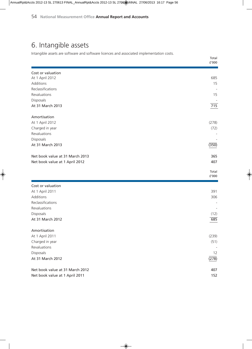### 6. Intangible assets

Intangible assets are software and software licences and associated implementation costs.

|                                 | ${\tt f'}000$          |
|---------------------------------|------------------------|
| Cost or valuation               |                        |
| At 1 April 2012                 | 685                    |
| Additions                       | 15                     |
| Reclassifications               |                        |
| Revaluations                    | 15                     |
| Disposals                       |                        |
| At 31 March 2013                | 715                    |
| Amortisation                    |                        |
| At 1 April 2012                 | (278)                  |
| Charged in year                 | (72)                   |
| Revaluations                    |                        |
| Disposals                       |                        |
| At 31 March 2013                | (350)                  |
| Net book value at 31 March 2013 | 365                    |
| Net book value at 1 April 2012  | 407                    |
|                                 |                        |
|                                 | Total<br>${\tt f'}000$ |
|                                 |                        |
| Cost or valuation               |                        |
| At 1 April 2011                 | 391                    |
| Additions                       | 306                    |
| Reclassifications               |                        |
| Revaluations                    |                        |
| Disposals                       | (12)                   |
| At 31 March 2012                | 685                    |
| Amortisation                    |                        |
| At 1 April 2011                 | (239)                  |
| Charged in year                 | (51)                   |
| Revaluations                    |                        |
| Disposals                       | 12                     |
| At 31 March 2012                | (278)                  |
| Net book value at 31 March 2012 | 407                    |
| Net book value at 1 April 2011  | 152                    |
|                                 |                        |

Total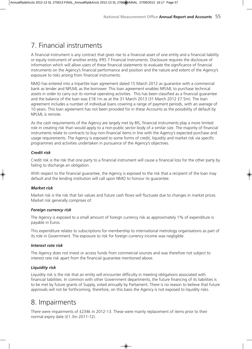### 7. Financial instruments

A financial instrument is any contract that gives rise to a financial asset of one entity and a financial liability or equity instrument of another entity. IFRS 7 Financial Instruments: Disclosure requires the disclosure of information which will allow users of these financial statements to evaluate the significance of financial instruments on the Agency's financial performance and position and the nature and extent of the Agency's exposure to risks arising from financial instruments.

NMO has entered into a tripartite loan agreement dated 15 March 2012 as guarantor with a commercial bank as lender and NPLML as the borrower. This loan agreement enables NPLML to purchase technical assets in order to carry out its normal operating activities. This has been classified as a financial guarantee and the balance of the loan was £18.1m as at the 31 March 2013 (31 March 2012 £7.5m). The loan agreement includes a number of individual loans covering a range of payment periods, with an average of 10 years. This loan agreement has not been provided for in these Accounts as the possibility of default by NPLML is remote.

As the cash requirements of the Agency are largely met by BIS, financial instruments play a more limited role in creating risk than would apply to a non-public sector body of a similar size. The majority of financial instruments relate to contracts to buy non-financial items in line with the Agency's expected purchase and usage requirements. The Agency is exposed to some forms of credit, liquidity and market risk via specific programmes and activities undertaken in pursuance of the Agency's objectives.

#### *Credit risk*

Credit risk is the risk that one party to a financial instrument will cause a financial loss for the other party by failing to discharge an obligation.

With respect to the financial guarantee, the Agency is exposed to the risk that a recipient of the loan may default and the lending institution will call upon NMO to honour its guarantee.

#### *Market risk*

Market risk is the risk that fair values and future cash flows will fluctuate due to changes in market prices. Market risk generally comprises of:

#### *Foreign currency risk*

The Agency is exposed to a small amount of foreign currency risk as approximately 1% of expenditure is payable in Euros.

This expenditure relates to subscriptions for membership to international metrology organisations as part of its role in Government. The exposure to risk for foreign currency income was negligible.

#### *Interest rate risk*

The Agency does not invest or access funds from commercial sources and was therefore not subject to interest rate risk apart from the financial guarantee mentioned above.

#### *Liquidity risk*

Liquidity risk is the risk that an entity will encounter difficulty in meeting obligations associated with financial liabilities. In common with other Government departments, the future financing of its liabilities is to be met by future grants of Supply, voted annually by Parliament. There is no reason to believe that future approvals will not be forthcoming, therefore, on this basis the Agency is not exposed to liquidity risks.

### 8. Impairments

There were impairments of £234k in 2012-13. These were mainly replacement of items prior to their normal expiry date (£1.3m 2011-12).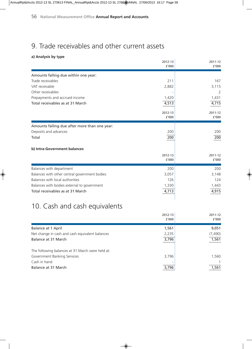### 9. Trade receivables and other current assets

#### **a) Analysis by type**

| a) Analysis by type                           |         |         |
|-----------------------------------------------|---------|---------|
|                                               | 2012-13 | 2011-12 |
|                                               | f'000   | f'000   |
| Amounts falling due within one year:          |         |         |
| Trade receivables                             | 211     | 167     |
| VAT receivable                                | 2,882   | 3,115   |
| Other receivables                             |         | 2       |
| Prepayments and accrued income                | 1,420   | 1,431   |
| Total receivables as at 31 March              | 4,513   | 4,715   |
|                                               | 2012-13 | 2011-12 |
|                                               | f'000   | f'000   |
| Amounts falling due after more than one year: |         |         |
| Deposits and advances                         | 200     | 200     |
| Total                                         | 200     | 200     |
| b) Intra-Government balances                  |         |         |
|                                               | 2012-13 | 2011-12 |
|                                               | £'000   | f'000   |
| Balances with department                      | 200     | 200     |
| Balances with other central government bodies | 3,057   | 3,148   |
| Balances with local authorities               | 126     | 124     |
| Balances with bodies external to government   | 1,330   | 1,443   |
| Total receivables as at 31 March              | 4,713   | 4,915   |
|                                               |         |         |
|                                               |         |         |

### 10. Cash and cash equivalents

|                                                  | 2012-13<br>f′000 | 2011-12<br>f'000 |
|--------------------------------------------------|------------------|------------------|
| <b>Balance at 1 April</b>                        | 1,561            | 9,051            |
| Net change in cash and cash equivalent balances  | 2,235            | (7, 490)         |
| Balance at 31 March                              | 3,796            | 1,561            |
| The following balances at 31 March were held at: |                  |                  |
| Government Banking Services                      | 3,796            | 1,560            |
| Cash in hand                                     |                  |                  |
| Balance at 31 March                              | 3,796            | 1,561            |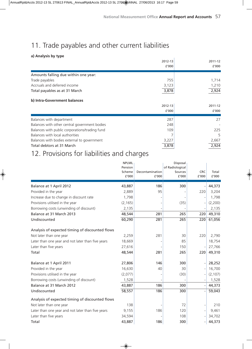### 11. Trade payables and other current liabilities

#### **a) Analysis by type**

| a) Analysis by type                            |         |         |
|------------------------------------------------|---------|---------|
|                                                | 2012-13 | 2011-12 |
|                                                | f'000   | f'000   |
| Amounts falling due within one year:           |         |         |
| Trade payables                                 | 755     | 1,714   |
| Accruals and deferred income                   | 3,123   | 1,210   |
| Total payables as at 31 March                  | 3,878   | 2,924   |
| b) Intra-Government balances                   |         |         |
|                                                | 2012-13 | 2011-12 |
|                                                | f'000   | f'000   |
| Balances with department                       | 287     | 27      |
| Balances with other central government bodies  | 248     |         |
| Balances with public corporations/trading fund | 109     | 225     |
| Balances with local authorities                |         | 5       |
| Balances with bodies external to government    | 3,227   | 2,667   |
| Total debtors at 31 March                      | 3,878   | 2,924   |

### 12. Provisions for liabilities and charges

|                                                   | <b>NPLML</b><br>Pension<br>Scheme<br>£'000 | Decontamination<br>f'000 | Disposal<br>of Radiological<br>Sources<br>f'000 | <b>CRC</b><br>£'000          | Total<br>f'000 |
|---------------------------------------------------|--------------------------------------------|--------------------------|-------------------------------------------------|------------------------------|----------------|
| Balance at 1 April 2012                           | 43,887                                     | 186                      | 300                                             |                              | 44,373         |
| Provided in the year                              | 2,889                                      | 95                       |                                                 | 220                          | 3,204          |
| Increase due to change in discount rate           | 1,798                                      |                          |                                                 | $\overline{\phantom{0}}$     | 1,798          |
| Provisions utilised in the year                   | (2, 165)                                   |                          | (35)                                            | $\overline{\phantom{0}}$     | (2,200)        |
| Borrowing costs (unwinding of discount)           | 2,135                                      |                          |                                                 |                              | 2,135          |
| Balance at 31 March 2013                          | 48,544                                     | 281                      | 265                                             | 220                          | 49,310         |
| Undiscounted                                      | 60,290                                     | 281                      | 265                                             | 220                          | 61,056         |
| Analysis of expected timing of discounted flows   |                                            |                          |                                                 |                              |                |
| Not later than one year                           | 2,259                                      | 281                      | 30                                              | 220                          | 2,790          |
| Later than one year and not later than five years | 18,669                                     |                          | 85                                              |                              | 18,754         |
| Later than five years                             | 27,616                                     |                          | 150                                             |                              | 27,766         |
| Total                                             | 48,544                                     | 281                      | 265                                             | 220                          | 49,310         |
| Balance at 1 April 2011                           | 27,806                                     | 146                      | 300                                             |                              | 28,252         |
| Provided in the year                              | 16,630                                     | 40                       | 30                                              |                              | 16,700         |
| Provisions utilised in the year                   | (2,077)                                    |                          | (30)                                            | $\overline{\phantom{m}}$     | (2, 107)       |
| Borrowing costs (unwinding of discount)           | 1,528                                      |                          |                                                 | $\overline{\phantom{a}}$     | 1,528          |
| Balance at 31 March 2012                          | 43,887                                     | 186                      | 300                                             | $\qquad \qquad \blacksquare$ | 44,373         |
| Undiscounted                                      | 58,557                                     | 186                      | 300                                             | $\overline{\phantom{a}}$     | 59,043         |
| Analysis of expected timing of discounted flows   |                                            |                          |                                                 |                              |                |
| Not later than one year                           | 138                                        |                          | 72                                              | $\overline{a}$               | 210            |
| Later than one year and not later than five years | 9,155                                      | 186                      | 120                                             | $\qquad \qquad \blacksquare$ | 9,461          |
| Later than five years                             | 34,594                                     |                          | 108                                             | $\overline{a}$               | 34,702         |
| Total                                             | 43,887                                     | 186                      | 300                                             | $\qquad \qquad \blacksquare$ | 44,373         |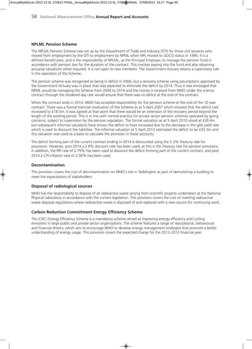#### **NPLML Pension Scheme**

The NPLML Pension Scheme was set up by the Department of Trade and Industry (DTI) for those civil servants who moved from employment by the DTI to employment by NPML when NPL moved to GOCO status in 1995. It is a defined benefit plan, and is the responsibility of NPLML, as the Principal Employer, to manage the pension fund in accordance with pension law for the duration of the contract. This involves paying into the fund and also obtaining actuarial valuations when required. It is not open to new members. The Government Actuary retains a supervisory role in the operation of the Scheme.

The pension scheme was recognised as being in deficit in 2004, but a recovery scheme using assumptions approved by the Government Actuary was in place that was expected to eliminate the deficit by 2014. Thus it was envisaged that NPML would be managing the Scheme from 2004 to 2014 and the money it received from NMO under the science contract through the tendered day rate would ensure that there was no deficit at the end of the contract.

When the contract ends in 2014, NMO has accepted responsibility for the pension scheme at the end of the 10 year contract. There was a formal triennial revaluation of the Scheme as at 5 April 2007 which showed that the deficit had increased to £18.5m. It was agreed at that point that there would be an extension of the recovery period beyond the length of the existing period. This is in line with normal practice for private sector pension schemes operated by going concerns, subject to supervision by the pension regulators. The formal valuation as at 5 April 2010 stood at £30.4m but subsequent informal valuations have shown the deficit to have increased due to the decrease in the gilts yield rate which is used to discount the liabilities. The informal valuation at 5 April 2012 estimated the deficit to be £43.3m and this valuation was used as a basis to calculate the provision in these accounts.

The deficit forming part of the current contract ending in 2014 is discounted using the 2.2% Treasury rate for provisions. However, post 2014 a 2.8% discount rate has been used, as this is the Treasury rate for pension provisions. In addition, the RPI rate of 2.75% has been used to discount the deficit forming part of the current contract, and post 2014 a CPI inflation rate of 2.00% has been used.

#### **Decontamination**

This provision covers the cost of decontamination on NMO's site in Teddington as part of demolishing a building to meet the expectations of stakeholders.

#### **Disposal of radiological sources**

NMO has the responsibility to dispose of all radioactive waste arising from scientific projects undertaken at the National Physical Laboratory in accordance with the current legislation. This provision covers the cost of meeting radioactive waste disposal regulations where radioactive waste is disposed of and replaced with a new source for continuing work.

#### **Carbon Reduction Commitment Energy Efficiency Scheme**

The (CRC) Energy Efficiency Scheme is a mandatory scheme aimed at improving energy efficiency and cutting emissions in large public and private sector organisations. The scheme features a range of reputational, behavioural and financial drivers, which aim to encourage NMO to develop energy management strategies that promote a better understanding of energy usage. This provision covers the expected charge for the 2012-2013 financial year.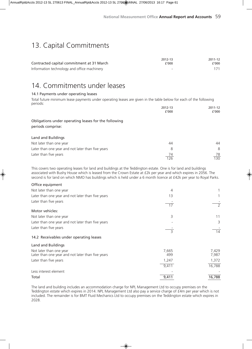### 13. Capital Commitments

|                                             | 2012-13  | 2011-12 |
|---------------------------------------------|----------|---------|
| Contracted capital commitment at 31 March   | f'000    | f′000   |
| Information technology and office machinery | <b>.</b> | 171     |

### 14. Commitments under leases

#### 14.1 Payments under operating leases

Total future minimum lease payments under operating leases are given in the table below for each of the following periods:

|                                                                           | 2012-13<br>f'000 | 2011-12<br>f′000 |
|---------------------------------------------------------------------------|------------------|------------------|
| Obligations under operating leases for the following<br>periods comprise: |                  |                  |
| Land and Buildings                                                        |                  |                  |
| Not later than one year                                                   | 44               | 44               |
| Later than one year and not later than five years                         | 8                | 8                |
| Later than five years                                                     | 74<br>126        | 78<br>130        |

This covers two operating leases for land and buildings at the Teddington estate. One is for land and buildings associated with Bushy House which is leased from the Crown Estate at £2k per year and which expires in 2056. The second is for land on which NMO has buildings which is held under a 6 month licence at £42k per year to Royal Parks.

| Office equipment                                                             |                 |                |
|------------------------------------------------------------------------------|-----------------|----------------|
| Not later than one year                                                      | 4               |                |
| Later than one year and not later than five years                            | 13              |                |
| Later than five years                                                        | $\overline{17}$ |                |
| Motor vehicles:                                                              |                 |                |
| Not later than one year                                                      | 3               | 11             |
| Later than one year and not later than five years                            |                 | 3              |
| Later than five years                                                        | 3               | 14             |
| 14.2 Receivables under operating leases                                      |                 |                |
| Land and Buildings                                                           |                 |                |
| Not later than one year<br>Later than one year and not later than five years | 7,665<br>499    | 7,429<br>7,987 |
| Later than five years                                                        | 1,247           | 1,372          |
|                                                                              | 9,411           | 16,788         |
| Less interest element                                                        |                 |                |
| Total                                                                        | 9,411           | 16,788         |

The land and building includes an accommodation charge for NPL Management Ltd to occupy premises on the Teddington estate which expires in 2014. NPL Management Ltd also pay a service charge of £4m per year which is not included. The remainder is for BMT Fluid Mechanics Ltd to occupy premises on the Teddington estate which expires in 2028.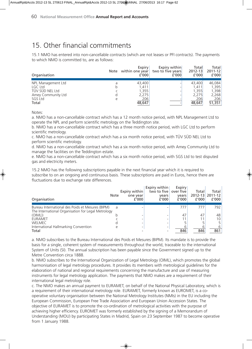### 15. Other financial commitments

15.1 NMO has entered into non-cancellable contracts (which are not leases or PFI contracts). The payments to which NMO is committed to, are as follows:

| Organisation                                                                               | Note | Expiry<br>within one year<br>£'000                 | Expiry within<br>two to five years<br>f'000 | Total<br>$2012 - 13$<br>f'000                      | Total<br>2011-12<br>f'000                          |
|--------------------------------------------------------------------------------------------|------|----------------------------------------------------|---------------------------------------------|----------------------------------------------------|----------------------------------------------------|
| NPL Management Ltd<br>LGC Ltd<br>TÜV SÜD NEL Ltd<br>Amey Community Ltd<br>SGS Ltd<br>Total | b    | 43,400<br>1.411<br>1,355<br>2,275<br>206<br>48,647 |                                             | 43,400<br>1.411<br>1.355<br>2,275<br>206<br>48,647 | 46,084<br>1,395<br>1,398<br>2,268<br>206<br>51,351 |

Notes:

a. NMO has a non-cancellable contract which has a 12 month notice period, with NPL Management Ltd to operate the NPL and perform scientific metrology on the Teddington site.

b. NMO has a non-cancellable contract which has a three month notice period, with LGC Ltd to perform scientific metrology.

c. NMO has a non-cancellable contract which has a six month notice period, with TÜV SÜD NEL Ltd to perform scientific metrology.

d. NMO has a non-cancellable contract which has a six month notice period, with Amey Community Ltd to manage the facilities on the Teddington estate.

e. NMO has a non-cancellable contract which has a six month notice period, with SGS Ltd to test disputed gas and electricity meters.

15.2 NMO has the following subscriptions payable in the next financial year which it is required to subscribe to on an ongoing and continuous basis. These subscriptions are paid in Euros, hence there are fluctuations due to exchange rate differences.

| Organisation                                                                                           | <b>Note</b> | Expiry within<br>one year<br>f'000 | Expiry within<br>two to five<br>vears<br>f'000 | Expiry<br>over five<br>vears<br>f'000 | Total<br>2012-13<br>f'000 | Total l<br>$2011 - 12$<br>f'000 |
|--------------------------------------------------------------------------------------------------------|-------------|------------------------------------|------------------------------------------------|---------------------------------------|---------------------------|---------------------------------|
| Bureau International des Poids et Mesures (BIPM)<br>The International Organisation for Legal Metrology | a           |                                    |                                                | 777                                   | 777                       | 792                             |
| (OIML)                                                                                                 |             |                                    |                                                | 47                                    | 47                        | 48                              |
| EURAMET                                                                                                |             |                                    |                                                |                                       |                           | 10                              |
| <b>WELMEC</b>                                                                                          |             |                                    |                                                |                                       |                           |                                 |
| International Hallmarking Convention                                                                   |             |                                    | -                                              |                                       |                           |                                 |
| Total                                                                                                  |             |                                    |                                                | 846                                   | 846                       | 861                             |

a. NMO subscribes to the Bureau International des Poids et Mesures (BIPM). Its mandate is to provide the basis for a single, coherent system of measurements throughout the world, traceable to the international System of Units (SI). The annual subscription has been payable since the Government signed up to the Metre Convention circa 1888.

b. NMO subscribes to the International Organization of Legal Metrology (OIML), which promotes the global harmonisation of legal metrology procedures. It provides its members with metrological guidelines for the elaboration of national and regional requirements concerning the manufacture and use of measuring instruments for legal metrology application. The payments that NMO makes are a requirement of their international legal metrology role.

c. The NMO makes an annual payment to EURAMET, on behalf of the National Physical Laboratory, which is a requirement of their international metrology role. EURAMET, formerly known as EUROMET, is a cooperative voluntary organisation between the National Metrology Institutes (NMIs) in the EU including the European Commission, European Free Trade Association and European Union Accession States. The objective of EURAMET is to promote the co-ordination of metrological activities with the purpose of achieving higher efficiency. EUROMET was formerly established by the signing of a Memorandum of Understanding (MOU) by participating States in Madrid, Spain on 23 September 1987 to become operative from 1 January 1988.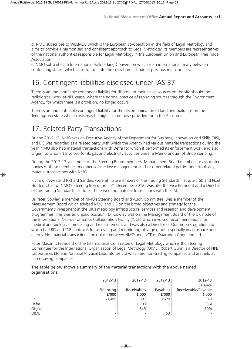d. NMO subscribes to WELMEC which is the European co-operation in the field of Legal Metrology and aims to provide a harmonised and consistent approach to Legal Metrology. Its members are representatives of the national authorities responsible for Legal Metrology in the European Union and European Free Trade Association.

e. NMO subscribes to International Hallmarking Convention which is an international treaty between contracting states, which aims to facilitate the cross-border trade of precious metal articles.

### 16. Contingent liabilities disclosed under IAS 37

There is an unquantifiable contingent liability for disposal of radioactive sources on the site should the radiological work at NPL cease, where the normal practice of replacing sources through the Environment Agency, for which there is a provision, no longer occurs.

There is an unquantifiable contingent liability for the decontamination of land and buildings on the Teddington estate where costs may be higher than those provided for in the Accounts.

### 17. Related Party Transactions

During 2012-13, NMO was an Executive Agency of the Department for Business, Innovation and Skills (BIS), and BIS was regarded as a related party with which the Agency had various material transactions during the year. NMO also had material transactions with Defra for which it performed its enforcement work and also Ofgem to whom it invoiced for its gas and electricity activities under a Memorandum of Understanding.

During the 2012-13 year, none of the Steering Board members, Management Board members or associated bodies of these members, members of the key management staff or other related parties undertook any material transactions with NMO.

Richard Frewin and Richard Sanders were affiliate members of the Trading Standards Institute (TSI) and Noel Hunter, Chair of NMO's Steering Board (until 31 December 2012) was also the Vice President and a Director of the Trading Standards Institute. There were no material transactions with the TSI.

Dr Peter Cowley, a member of NMO's Steering Board and Audit Committee, was a member of the Measurement Board which advised NMO and BIS on the broad objectives and strategy for the Government's investment in the UK's metrology infrastructure, services and research and development programmes. This was an unpaid position. Dr Cowley was on the Management Board of the UK node of the International Neuroinformatics Collaboration Facility (INCF) which involved recommendations for medical and biological modelling and measurement, and was also a Director of Quarndon Cognition Ltd which had BIS and TSB contracts for assessing and monitoring of large grants especially in aerospace and energy. No financial transactions took place between NMO and INCF or Quarndon Cognition Ltd.

Peter Mason is President of the International Committee of Legal Metrology which is the Steering Committee for the International Organization of Legal Metrology (OIML). Robert Gunn is a Director of NPL Laboratories Ltd and National Physical Laboratories Ltd which are non-trading companies and are held as name saving companies.

#### The table below shows a summary of the material transactions with the above named organisations:

|            | 2012-13   | $2012 - 13$ | 2012-13  | 2012-13<br><b>Balance</b> |
|------------|-----------|-------------|----------|---------------------------|
|            | Financing | Receivables | Payables | Receiveable/Payable       |
|            | f'000     | f'000       | f'000    | f'000                     |
| <b>BIS</b> | 63,405    | 587         | 3,679    | (87)                      |
| Defra      | -         | 1,103       |          | (36)                      |
| Ofgem      | -         | 845         |          | (100)                     |
| OIML       | -         | ۰           | 53       | $\overline{\phantom{a}}$  |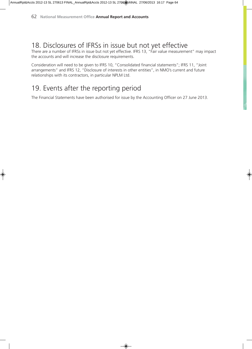### 18. Disclosures of IFRSs in issue but not yet effective

There are a number of IFRSs in issue but not yet effective. IFRS 13, "Fair value measurement" may impact the accounts and will increase the disclosure requirements.

Consideration will need to be given to IFRS 10, "Consolidated financial statements"; IFRS 11, "Joint arrangements" and IFRS 12, "Disclosure of interests in other entities", in NMO's current and future relationships with its contractors, in particular NPLM Ltd.

### 19. Events after the reporting period

The Financial Statements have been authorised for issue by the Accounting Officer on 27 June 2013.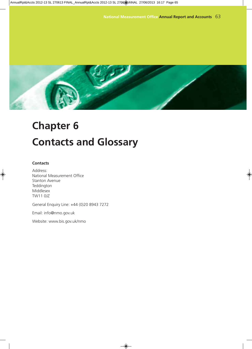![](_page_63_Picture_1.jpeg)

# **Chapter 6 Contacts and Glossary**

#### **Contacts**

Address: National Measurement Office Stanton Avenue Teddington Middlesex TW11 0JZ

General Enquiry Line: +44 (0)20 8943 7272

Email: info@nmo.gov.uk

Website: www.bis.gov.uk/nmo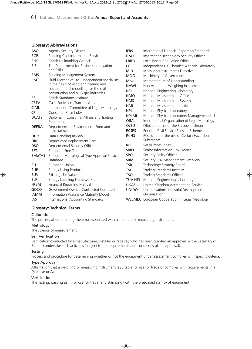#### **Glossary: Abbreviations**

| <b>BCIS</b><br><b>Building Cost Information Service</b><br><b>ITSO</b><br>Information Technology Security Officer<br><b>British Hallmarking Council</b><br><b>BHC</b><br>Local Better Regulation Office<br><b>LBRO</b><br>The Department for Business, Innovation<br><b>BIS</b><br><b>LGC</b><br>Independent UK Chemical Analysis Laboratory<br>and Skills<br><b>MID</b><br>Measuring Instruments Directive<br><b>BMS</b><br><b>Building Management System</b><br><b>MOG</b><br>Machinery of Government<br>Fluid Mechanics Ltd - independent specialists<br><b>BMT</b><br>MoU<br>Memorandum of Understanding<br>in the fields of wind engineering and<br><b>NAWI</b><br>Non Automatic Weighing Instrument<br>computational modelling for the civil<br><b>NEL</b><br>National Engineering Laboratory<br>construction and oil & gas industries<br>National Measurement Office<br><b>NMO</b><br><b>BSI</b><br>British Standards Institute<br><b>NMS</b><br>National Measurement System<br>Cash Equivalent Transfer Value<br><b>CETV</b><br>National Measurement Institute<br><b>NMI</b><br><b>CIML</b><br>International Committee of Legal Metrology<br><b>NPL</b><br>National Physical Laboratory<br><b>CPI</b><br>Consumer Price Index<br>National Physical Laboratory Management Ltd<br><b>NPLML</b><br><b>DCATS</b><br>Diploma in Consumer Affairs and Trading<br>International Organisation of Legal Metrology<br>OIML<br>Standards<br><b>OJEU</b><br>Official Journal of the European Union<br><b>DEFRA</b><br>Department for Environment, Food and<br><b>PCSPS</b><br>Principal Civil Service Pension Scheme<br><b>Rural Affairs</b><br>Restriction of the use of Certain Hazardous<br><b>RoHS</b><br><b>DHR</b><br>Data Handling Review<br>Substances<br>Depreciated Replacement Cost<br><b>DRC</b><br>Retail Prices Index<br><b>RPI</b><br>Departmental Security Officer<br><b>DSO</b><br><b>SIRO</b><br>Senior Information Risk Owner<br><b>EFT</b><br>European Free Trade<br><b>SPO</b><br>Security Policy Officer<br><b>EMeTAS</b><br>European Metrological Type Approval Service<br><b>SRMO</b><br>Security Risk Management Overview<br>Database<br>EU<br>Technology Strategy Board<br>European Union<br><b>TSB</b><br><b>EUP</b><br><b>Energy Using Products</b><br><b>TSI</b><br>Trading Standards Institute<br>Existing Use Value<br><b>EUV</b><br>Trading Standards Officer<br><b>TSO</b><br>ELF<br>Energy Labelling Framework<br>National Engineering Laboratory<br><b>TUV NEL</b><br><b>Financial Reporting Manual</b><br><b>FReM</b><br>United Kingdom Accreditation Service<br><b>UKAS</b><br>Government Owned Contracted Operated<br>GOCO<br>United Nations Industrial Development<br><b>UNIDO</b><br><b>IAMM</b><br>Information Assurance Maturity Model<br>Organization<br>International Accounting Standards<br>IAS<br><b>WELMEC</b> European Cooperation in Legal Metrology | <b>ASO</b> | Agency Security Officer | <b>IFRS</b> | International Financial Reporting Standards |
|----------------------------------------------------------------------------------------------------------------------------------------------------------------------------------------------------------------------------------------------------------------------------------------------------------------------------------------------------------------------------------------------------------------------------------------------------------------------------------------------------------------------------------------------------------------------------------------------------------------------------------------------------------------------------------------------------------------------------------------------------------------------------------------------------------------------------------------------------------------------------------------------------------------------------------------------------------------------------------------------------------------------------------------------------------------------------------------------------------------------------------------------------------------------------------------------------------------------------------------------------------------------------------------------------------------------------------------------------------------------------------------------------------------------------------------------------------------------------------------------------------------------------------------------------------------------------------------------------------------------------------------------------------------------------------------------------------------------------------------------------------------------------------------------------------------------------------------------------------------------------------------------------------------------------------------------------------------------------------------------------------------------------------------------------------------------------------------------------------------------------------------------------------------------------------------------------------------------------------------------------------------------------------------------------------------------------------------------------------------------------------------------------------------------------------------------------------------------------------------------------------------------------------------------------------------------------------------------------------------------------------------------------------------------------------------------------------------------------------------------------------------------------------------------------------------------------------------------------------------------------------------------------|------------|-------------------------|-------------|---------------------------------------------|
|                                                                                                                                                                                                                                                                                                                                                                                                                                                                                                                                                                                                                                                                                                                                                                                                                                                                                                                                                                                                                                                                                                                                                                                                                                                                                                                                                                                                                                                                                                                                                                                                                                                                                                                                                                                                                                                                                                                                                                                                                                                                                                                                                                                                                                                                                                                                                                                                                                                                                                                                                                                                                                                                                                                                                                                                                                                                                                    |            |                         |             |                                             |
|                                                                                                                                                                                                                                                                                                                                                                                                                                                                                                                                                                                                                                                                                                                                                                                                                                                                                                                                                                                                                                                                                                                                                                                                                                                                                                                                                                                                                                                                                                                                                                                                                                                                                                                                                                                                                                                                                                                                                                                                                                                                                                                                                                                                                                                                                                                                                                                                                                                                                                                                                                                                                                                                                                                                                                                                                                                                                                    |            |                         |             |                                             |
|                                                                                                                                                                                                                                                                                                                                                                                                                                                                                                                                                                                                                                                                                                                                                                                                                                                                                                                                                                                                                                                                                                                                                                                                                                                                                                                                                                                                                                                                                                                                                                                                                                                                                                                                                                                                                                                                                                                                                                                                                                                                                                                                                                                                                                                                                                                                                                                                                                                                                                                                                                                                                                                                                                                                                                                                                                                                                                    |            |                         |             |                                             |
|                                                                                                                                                                                                                                                                                                                                                                                                                                                                                                                                                                                                                                                                                                                                                                                                                                                                                                                                                                                                                                                                                                                                                                                                                                                                                                                                                                                                                                                                                                                                                                                                                                                                                                                                                                                                                                                                                                                                                                                                                                                                                                                                                                                                                                                                                                                                                                                                                                                                                                                                                                                                                                                                                                                                                                                                                                                                                                    |            |                         |             |                                             |
|                                                                                                                                                                                                                                                                                                                                                                                                                                                                                                                                                                                                                                                                                                                                                                                                                                                                                                                                                                                                                                                                                                                                                                                                                                                                                                                                                                                                                                                                                                                                                                                                                                                                                                                                                                                                                                                                                                                                                                                                                                                                                                                                                                                                                                                                                                                                                                                                                                                                                                                                                                                                                                                                                                                                                                                                                                                                                                    |            |                         |             |                                             |
|                                                                                                                                                                                                                                                                                                                                                                                                                                                                                                                                                                                                                                                                                                                                                                                                                                                                                                                                                                                                                                                                                                                                                                                                                                                                                                                                                                                                                                                                                                                                                                                                                                                                                                                                                                                                                                                                                                                                                                                                                                                                                                                                                                                                                                                                                                                                                                                                                                                                                                                                                                                                                                                                                                                                                                                                                                                                                                    |            |                         |             |                                             |
|                                                                                                                                                                                                                                                                                                                                                                                                                                                                                                                                                                                                                                                                                                                                                                                                                                                                                                                                                                                                                                                                                                                                                                                                                                                                                                                                                                                                                                                                                                                                                                                                                                                                                                                                                                                                                                                                                                                                                                                                                                                                                                                                                                                                                                                                                                                                                                                                                                                                                                                                                                                                                                                                                                                                                                                                                                                                                                    |            |                         |             |                                             |
|                                                                                                                                                                                                                                                                                                                                                                                                                                                                                                                                                                                                                                                                                                                                                                                                                                                                                                                                                                                                                                                                                                                                                                                                                                                                                                                                                                                                                                                                                                                                                                                                                                                                                                                                                                                                                                                                                                                                                                                                                                                                                                                                                                                                                                                                                                                                                                                                                                                                                                                                                                                                                                                                                                                                                                                                                                                                                                    |            |                         |             |                                             |
|                                                                                                                                                                                                                                                                                                                                                                                                                                                                                                                                                                                                                                                                                                                                                                                                                                                                                                                                                                                                                                                                                                                                                                                                                                                                                                                                                                                                                                                                                                                                                                                                                                                                                                                                                                                                                                                                                                                                                                                                                                                                                                                                                                                                                                                                                                                                                                                                                                                                                                                                                                                                                                                                                                                                                                                                                                                                                                    |            |                         |             |                                             |
|                                                                                                                                                                                                                                                                                                                                                                                                                                                                                                                                                                                                                                                                                                                                                                                                                                                                                                                                                                                                                                                                                                                                                                                                                                                                                                                                                                                                                                                                                                                                                                                                                                                                                                                                                                                                                                                                                                                                                                                                                                                                                                                                                                                                                                                                                                                                                                                                                                                                                                                                                                                                                                                                                                                                                                                                                                                                                                    |            |                         |             |                                             |
|                                                                                                                                                                                                                                                                                                                                                                                                                                                                                                                                                                                                                                                                                                                                                                                                                                                                                                                                                                                                                                                                                                                                                                                                                                                                                                                                                                                                                                                                                                                                                                                                                                                                                                                                                                                                                                                                                                                                                                                                                                                                                                                                                                                                                                                                                                                                                                                                                                                                                                                                                                                                                                                                                                                                                                                                                                                                                                    |            |                         |             |                                             |
|                                                                                                                                                                                                                                                                                                                                                                                                                                                                                                                                                                                                                                                                                                                                                                                                                                                                                                                                                                                                                                                                                                                                                                                                                                                                                                                                                                                                                                                                                                                                                                                                                                                                                                                                                                                                                                                                                                                                                                                                                                                                                                                                                                                                                                                                                                                                                                                                                                                                                                                                                                                                                                                                                                                                                                                                                                                                                                    |            |                         |             |                                             |
|                                                                                                                                                                                                                                                                                                                                                                                                                                                                                                                                                                                                                                                                                                                                                                                                                                                                                                                                                                                                                                                                                                                                                                                                                                                                                                                                                                                                                                                                                                                                                                                                                                                                                                                                                                                                                                                                                                                                                                                                                                                                                                                                                                                                                                                                                                                                                                                                                                                                                                                                                                                                                                                                                                                                                                                                                                                                                                    |            |                         |             |                                             |
|                                                                                                                                                                                                                                                                                                                                                                                                                                                                                                                                                                                                                                                                                                                                                                                                                                                                                                                                                                                                                                                                                                                                                                                                                                                                                                                                                                                                                                                                                                                                                                                                                                                                                                                                                                                                                                                                                                                                                                                                                                                                                                                                                                                                                                                                                                                                                                                                                                                                                                                                                                                                                                                                                                                                                                                                                                                                                                    |            |                         |             |                                             |
|                                                                                                                                                                                                                                                                                                                                                                                                                                                                                                                                                                                                                                                                                                                                                                                                                                                                                                                                                                                                                                                                                                                                                                                                                                                                                                                                                                                                                                                                                                                                                                                                                                                                                                                                                                                                                                                                                                                                                                                                                                                                                                                                                                                                                                                                                                                                                                                                                                                                                                                                                                                                                                                                                                                                                                                                                                                                                                    |            |                         |             |                                             |
|                                                                                                                                                                                                                                                                                                                                                                                                                                                                                                                                                                                                                                                                                                                                                                                                                                                                                                                                                                                                                                                                                                                                                                                                                                                                                                                                                                                                                                                                                                                                                                                                                                                                                                                                                                                                                                                                                                                                                                                                                                                                                                                                                                                                                                                                                                                                                                                                                                                                                                                                                                                                                                                                                                                                                                                                                                                                                                    |            |                         |             |                                             |
|                                                                                                                                                                                                                                                                                                                                                                                                                                                                                                                                                                                                                                                                                                                                                                                                                                                                                                                                                                                                                                                                                                                                                                                                                                                                                                                                                                                                                                                                                                                                                                                                                                                                                                                                                                                                                                                                                                                                                                                                                                                                                                                                                                                                                                                                                                                                                                                                                                                                                                                                                                                                                                                                                                                                                                                                                                                                                                    |            |                         |             |                                             |
|                                                                                                                                                                                                                                                                                                                                                                                                                                                                                                                                                                                                                                                                                                                                                                                                                                                                                                                                                                                                                                                                                                                                                                                                                                                                                                                                                                                                                                                                                                                                                                                                                                                                                                                                                                                                                                                                                                                                                                                                                                                                                                                                                                                                                                                                                                                                                                                                                                                                                                                                                                                                                                                                                                                                                                                                                                                                                                    |            |                         |             |                                             |
|                                                                                                                                                                                                                                                                                                                                                                                                                                                                                                                                                                                                                                                                                                                                                                                                                                                                                                                                                                                                                                                                                                                                                                                                                                                                                                                                                                                                                                                                                                                                                                                                                                                                                                                                                                                                                                                                                                                                                                                                                                                                                                                                                                                                                                                                                                                                                                                                                                                                                                                                                                                                                                                                                                                                                                                                                                                                                                    |            |                         |             |                                             |
|                                                                                                                                                                                                                                                                                                                                                                                                                                                                                                                                                                                                                                                                                                                                                                                                                                                                                                                                                                                                                                                                                                                                                                                                                                                                                                                                                                                                                                                                                                                                                                                                                                                                                                                                                                                                                                                                                                                                                                                                                                                                                                                                                                                                                                                                                                                                                                                                                                                                                                                                                                                                                                                                                                                                                                                                                                                                                                    |            |                         |             |                                             |
|                                                                                                                                                                                                                                                                                                                                                                                                                                                                                                                                                                                                                                                                                                                                                                                                                                                                                                                                                                                                                                                                                                                                                                                                                                                                                                                                                                                                                                                                                                                                                                                                                                                                                                                                                                                                                                                                                                                                                                                                                                                                                                                                                                                                                                                                                                                                                                                                                                                                                                                                                                                                                                                                                                                                                                                                                                                                                                    |            |                         |             |                                             |
|                                                                                                                                                                                                                                                                                                                                                                                                                                                                                                                                                                                                                                                                                                                                                                                                                                                                                                                                                                                                                                                                                                                                                                                                                                                                                                                                                                                                                                                                                                                                                                                                                                                                                                                                                                                                                                                                                                                                                                                                                                                                                                                                                                                                                                                                                                                                                                                                                                                                                                                                                                                                                                                                                                                                                                                                                                                                                                    |            |                         |             |                                             |
|                                                                                                                                                                                                                                                                                                                                                                                                                                                                                                                                                                                                                                                                                                                                                                                                                                                                                                                                                                                                                                                                                                                                                                                                                                                                                                                                                                                                                                                                                                                                                                                                                                                                                                                                                                                                                                                                                                                                                                                                                                                                                                                                                                                                                                                                                                                                                                                                                                                                                                                                                                                                                                                                                                                                                                                                                                                                                                    |            |                         |             |                                             |
|                                                                                                                                                                                                                                                                                                                                                                                                                                                                                                                                                                                                                                                                                                                                                                                                                                                                                                                                                                                                                                                                                                                                                                                                                                                                                                                                                                                                                                                                                                                                                                                                                                                                                                                                                                                                                                                                                                                                                                                                                                                                                                                                                                                                                                                                                                                                                                                                                                                                                                                                                                                                                                                                                                                                                                                                                                                                                                    |            |                         |             |                                             |
|                                                                                                                                                                                                                                                                                                                                                                                                                                                                                                                                                                                                                                                                                                                                                                                                                                                                                                                                                                                                                                                                                                                                                                                                                                                                                                                                                                                                                                                                                                                                                                                                                                                                                                                                                                                                                                                                                                                                                                                                                                                                                                                                                                                                                                                                                                                                                                                                                                                                                                                                                                                                                                                                                                                                                                                                                                                                                                    |            |                         |             |                                             |
|                                                                                                                                                                                                                                                                                                                                                                                                                                                                                                                                                                                                                                                                                                                                                                                                                                                                                                                                                                                                                                                                                                                                                                                                                                                                                                                                                                                                                                                                                                                                                                                                                                                                                                                                                                                                                                                                                                                                                                                                                                                                                                                                                                                                                                                                                                                                                                                                                                                                                                                                                                                                                                                                                                                                                                                                                                                                                                    |            |                         |             |                                             |
|                                                                                                                                                                                                                                                                                                                                                                                                                                                                                                                                                                                                                                                                                                                                                                                                                                                                                                                                                                                                                                                                                                                                                                                                                                                                                                                                                                                                                                                                                                                                                                                                                                                                                                                                                                                                                                                                                                                                                                                                                                                                                                                                                                                                                                                                                                                                                                                                                                                                                                                                                                                                                                                                                                                                                                                                                                                                                                    |            |                         |             |                                             |
|                                                                                                                                                                                                                                                                                                                                                                                                                                                                                                                                                                                                                                                                                                                                                                                                                                                                                                                                                                                                                                                                                                                                                                                                                                                                                                                                                                                                                                                                                                                                                                                                                                                                                                                                                                                                                                                                                                                                                                                                                                                                                                                                                                                                                                                                                                                                                                                                                                                                                                                                                                                                                                                                                                                                                                                                                                                                                                    |            |                         |             |                                             |
|                                                                                                                                                                                                                                                                                                                                                                                                                                                                                                                                                                                                                                                                                                                                                                                                                                                                                                                                                                                                                                                                                                                                                                                                                                                                                                                                                                                                                                                                                                                                                                                                                                                                                                                                                                                                                                                                                                                                                                                                                                                                                                                                                                                                                                                                                                                                                                                                                                                                                                                                                                                                                                                                                                                                                                                                                                                                                                    |            |                         |             |                                             |
|                                                                                                                                                                                                                                                                                                                                                                                                                                                                                                                                                                                                                                                                                                                                                                                                                                                                                                                                                                                                                                                                                                                                                                                                                                                                                                                                                                                                                                                                                                                                                                                                                                                                                                                                                                                                                                                                                                                                                                                                                                                                                                                                                                                                                                                                                                                                                                                                                                                                                                                                                                                                                                                                                                                                                                                                                                                                                                    |            |                         |             |                                             |

#### **Glossary: Technical Terms**

#### Calibration

The process of determining the error associated with a standard or measuring instrument.

### Metrology

The science of measurement.

#### Self Verification

Verification conducted by a manufacturer, installer or repairer, who has been granted an approval by the Secretary of State to undertake such activities (subject to the requirements and conditions of the approval).

#### **Testing**

Process and procedure for determining whether or not the equipment under assessment complies with specific criteria.

#### Type Approval

Affirmation that a weighing or measuring instrument is suitable for use for trade or complies with requirements in a Directive or Act.

#### Verification

The testing, passing as fit for use for trade, and stamping (with the prescribed stamp) of equipment.